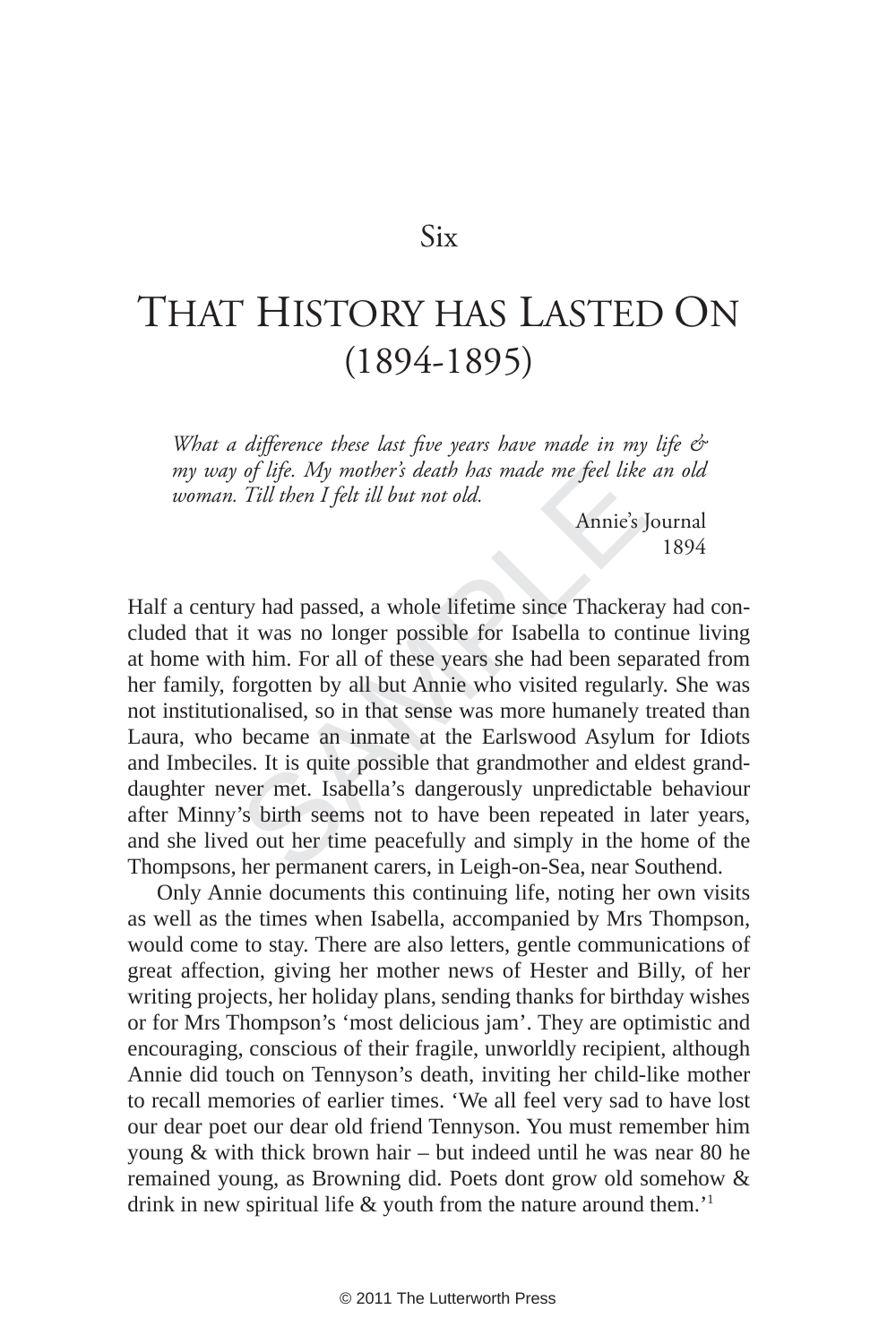## Six

## THAT HISTORY HAS LASTED O N (1894-1895)

*What a difference these last five years have made in my life & my way of life. My mother's death has made me feel like an old woman. Till then I felt ill but not old.*

Annie's Journal 1894

of life. My mother's death has made me feel like<br>Till then I felt ill but not old.<br>Annie's<br>Inverting and the state of the state of the state of the state of<br>the state of these years she had been sep<br>forgotten by all but An Half a century had passed, a whole lifetime since Thackeray had concluded that it was no longer possible for Isabella to continue living at home with him. For all of these years she had been separated from her family, forgotten by all but Annie who visited regularly. She was not institutionalised, so in that sense was more humanely treated than Laura, who became an inmate at the Earlswood Asylum for Idiots and Imbeciles. It is quite possible that grandmother and eldest granddaughter never met. Isabella's dangerously unpredictable behaviour after Minny's birth seems not to have been repeated in later years, and she lived out her time peacefully and simply in the home of the Thompsons, her permanent carers, in Leigh-on-Sea, near Southend.

Only Annie documents this continuing life, noting her own visits as well as the times when Isabella, accompanied by Mrs Thompson, would come to stay. There are also letters, gentle communications of great affection, giving her mother news of Hester and Billy, of her writing projects, her holiday plans, sending thanks for birthday wishes or for Mrs Thompson's 'most delicious jam'. They are optimistic and encouraging, conscious of their fragile, unworldly recipient, although Annie did touch on Tennyson's death, inviting her child-like mother to recall memories of earlier times. 'We all feel very sad to have lost our dear poet our dear old friend Tennyson. You must remember him young & with thick brown hair – but indeed until he was near 80 he remained young, as Browning did. Poets dont grow old somehow & drink in new spiritual life & youth from the nature around them.<sup>11</sup>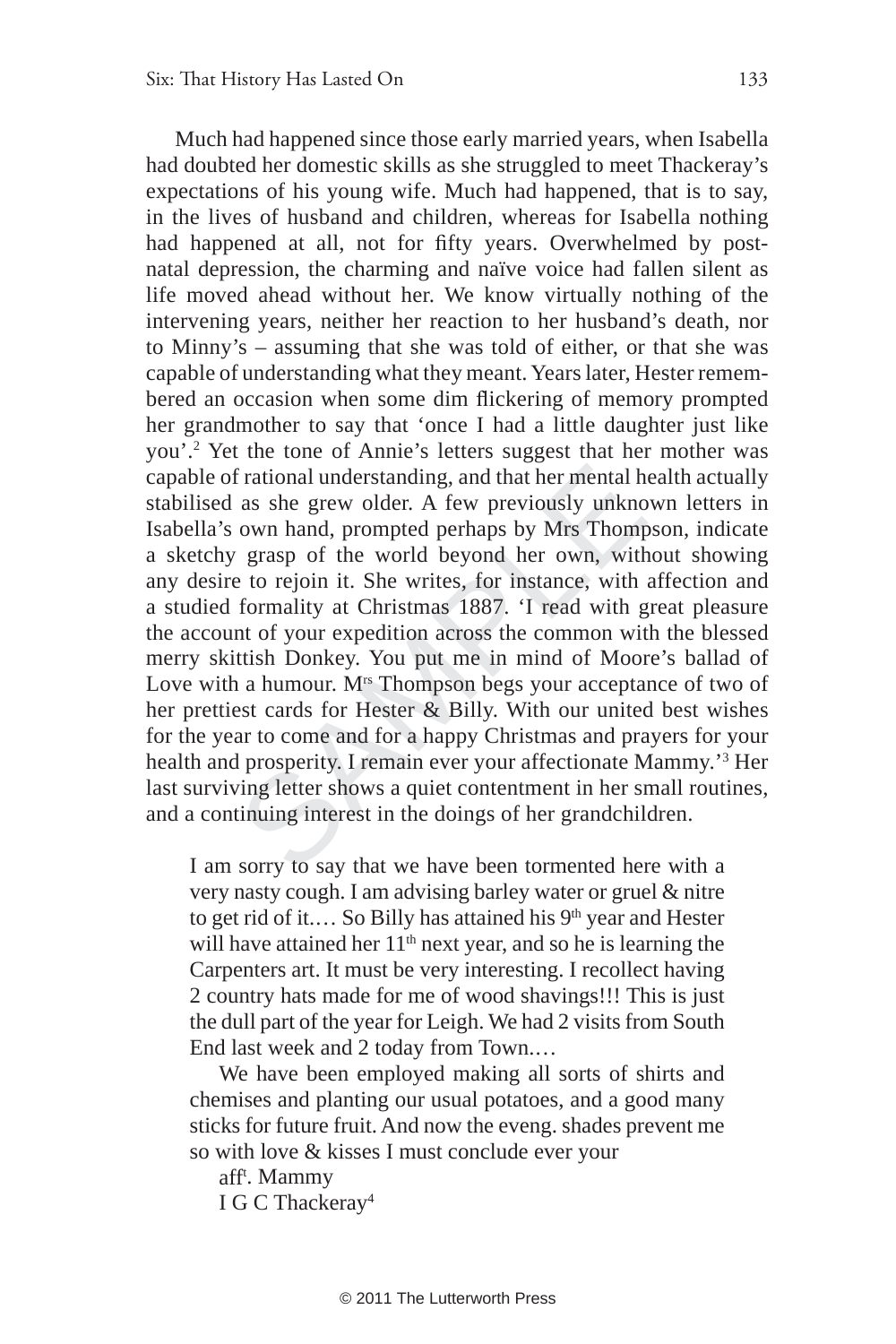f rational understanding, and that her mental h<br>as she grew older. A few previously unkno<br>own hand, prompted perhaps by Mrs Thom<br>y grasp of the world beyond her own, with<br>e to rejoin it. She writes, for instance, with<br>for Much had happened since those early married years, when Isabella had doubted her domestic skills as she struggled to meet Thackeray's expectations of his young wife. Much had happened, that is to say, in the lives of husband and children, whereas for Isabella nothing had happened at all, not for fifty years. Overwhelmed by postnatal depression, the charming and naïve voice had fallen silent as life moved ahead without her. We know virtually nothing of the intervening years, neither her reaction to her husband's death, nor to Minny's – assuming that she was told of either, or that she was capable of understanding what they meant. Years later, Hester remembered an occasion when some dim flickering of memory prompted her grandmother to say that 'once I had a little daughter just like you'. 2 Yet the tone of Annie's letters suggest that her mother was capable of rational understanding, and that her mental health actually stabilised as she grew older. A few previously unknown letters in Isabella's own hand, prompted perhaps by Mrs Thompson, indicate a sketchy grasp of the world beyond her own, without showing any desire to rejoin it. She writes, for instance, with affection and a studied formality at Christmas 1887. 'I read with great pleasure the account of your expedition across the common with the blessed merry skittish Donkey. You put me in mind of Moore's ballad of Love with a humour. M<sup>rs</sup> Thompson begs your acceptance of two of her prettiest cards for Hester & Billy. With our united best wishes for the year to come and for a happy Christmas and prayers for your health and prosperity. I remain ever your affectionate Mammy.'<sup>3</sup> Her last surviving letter shows a quiet contentment in her small routines, and a continuing interest in the doings of her grandchildren.

I am sorry to say that we have been tormented here with a very nasty cough. I am advising barley water or gruel & nitre to get rid of it.... So Billy has attained his  $9<sup>th</sup>$  year and Hester will have attained her  $11<sup>th</sup>$  next year, and so he is learning the Carpenters art. It must be very interesting. I recollect having 2 country hats made for me of wood shavings!!! This is just the dull part of the year for Leigh. We had 2 visits from South End last week and 2 today from Town.…

We have been employed making all sorts of shirts and chemises and planting our usual potatoes, and a good many sticks for future fruit. And now the eveng. shades prevent me so with love & kisses I must conclude ever your

afft . Mammy

I G C Thackeray 4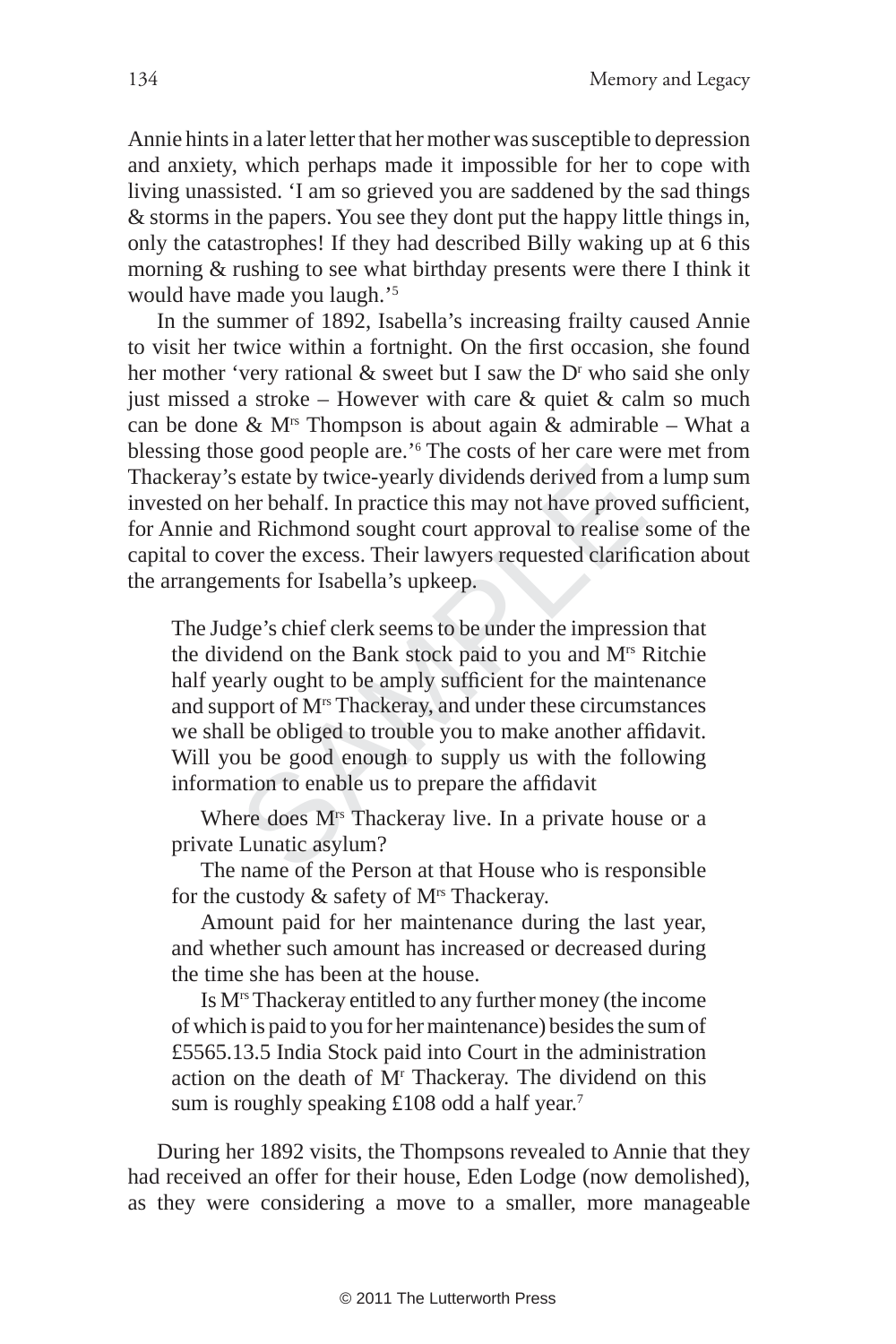Annie hints in a later letter that her mother was susceptible to depression and anxiety, which perhaps made it impossible for her to cope with living unassisted. 'I am so grieved you are saddened by the sad things & storms in the papers. You see they dont put the happy little things in, only the catastrophes! If they had described Billy waking up at 6 this morning & rushing to see what birthday presents were there I think it would have made you laugh.' 5

In the summer of 1892, Isabella's increasing frailty caused Annie to visit her twice within a fortnight. On the first occasion, she found her mother 'very rational  $\&$  sweet but I saw the  $D<sup>r</sup>$  who said she only just missed a stroke – However with care  $\&$  quiet  $\&$  calm so much can be done  $\&$  M<sup>rs</sup> Thompson is about again  $\&$  admirable – What a blessing those good people are.' <sup>6</sup> The costs of her care were met from Thackeray's estate by twice-yearly dividends derived from a lump sum invested on her behalf. In practice this may not have proved sufficient, for Annie and Richmond sought court approval to realise some of the capital to cover the excess. Their lawyers requested clarification about the arrangements for Isabella's upkeep.

Solvet that is may not have prove the behalf. In practice this may not have prove the behalf. In practice this may not have prove the Richmond sought court approval to realise wer the excess. Their lawyers requested clari The Judge's chief clerk seems to be under the impression that the dividend on the Bank stock paid to you and Mrs Ritchie half yearly ought to be amply sufficient for the maintenance and support of Mrs Thackeray, and under these circumstances we shall be obliged to trouble you to make another affidavit. Will you be good enough to supply us with the following information to enable us to prepare the affidavit

Where does M<sup>rs</sup> Thackeray live. In a private house or a private Lunatic asylum?

The name of the Person at that House who is responsible for the custody  $\&$  safety of M<sup>rs</sup> Thackeray.

Amount paid for her maintenance during the last year, and whether such amount has increased or decreased during the time she has been at the house.

Is Mrs Thackeray entitled to any further money (the income of which is paid to you for her maintenance) besides the sum of £5565.13.5 India Stock paid into Court in the administration action on the death of M<sup>r</sup> Thackeray. The dividend on this sum is roughly speaking £108 odd a half year.<sup>7</sup>

During her 1892 visits, the Thompsons revealed to Annie that they had received an offer for their house, Eden Lodge (now demolished), as they were considering a move to a smaller, more manageable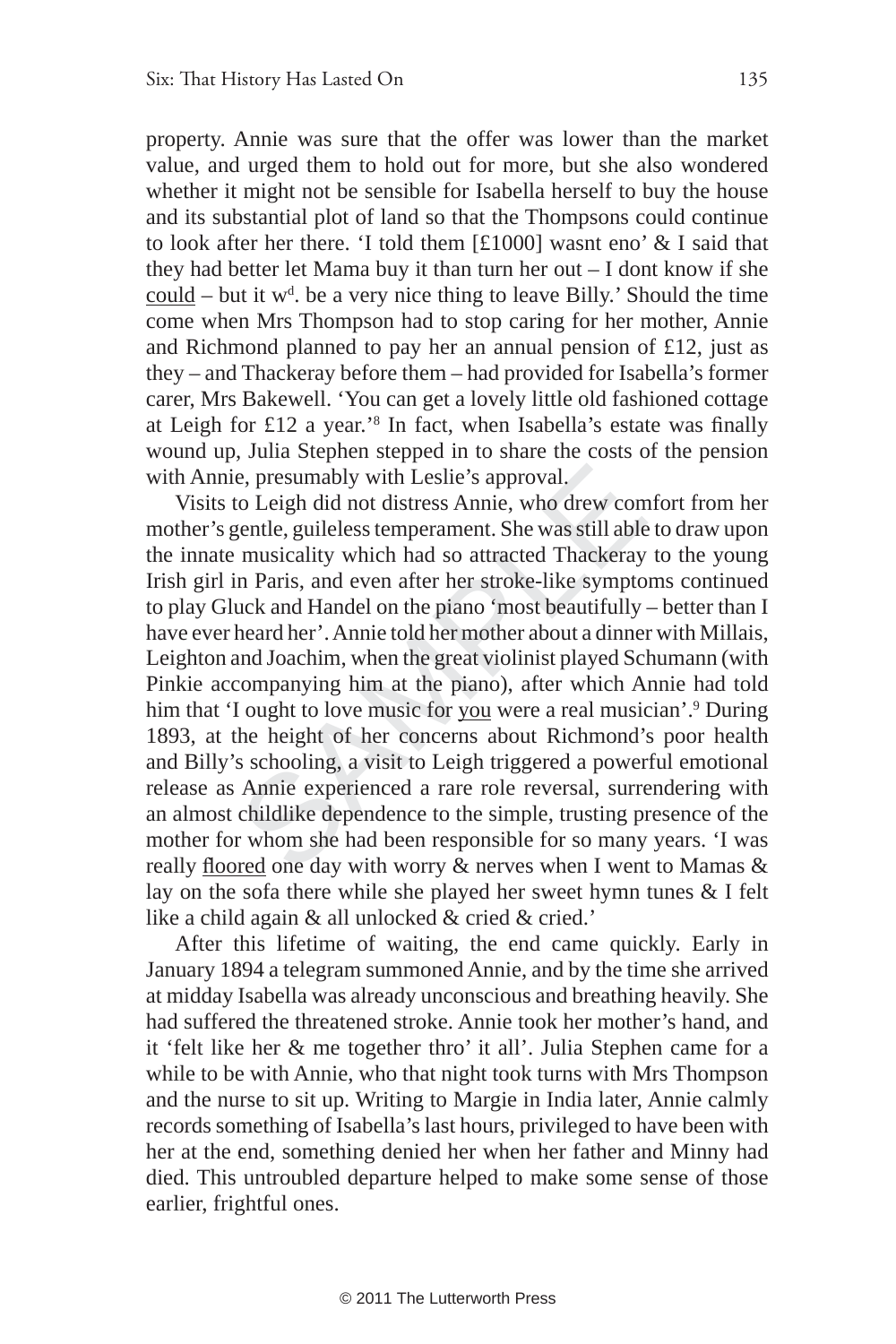property. Annie was sure that the offer was lower than the market value, and urged them to hold out for more, but she also wondered whether it might not be sensible for Isabella herself to buy the house and its substantial plot of land so that the Thompsons could continue to look after her there. 'I told them [£1000] wasnt eno' & I said that they had better let Mama buy it than turn her out – I dont know if she  $\frac{\text{coul}}{\text{d}}$  – but it w<sup>d</sup>. be a very nice thing to leave Billy.' Should the time come when Mrs Thompson had to stop caring for her mother, Annie and Richmond planned to pay her an annual pension of £12, just as they – and Thackeray before them – had provided for Isabella's former carer, Mrs Bakewell. 'You can get a lovely little old fashioned cottage at Leigh for £12 a year.'<sup>8</sup> In fact, when Isabella's estate was finally wound up, Julia Stephen stepped in to share the costs of the pension with Annie, presumably with Leslie's approval.

e, presumably with Leslie's approval.<br>to Leigh did not distress Annie, who drew con<br>gentle, guileless temperament. She was still able<br>i musicality which had so attracted Thackeray<br>in Paris, and even after her stroke-like s Visits to Leigh did not distress Annie, who drew comfort from her mother's gentle, guileless temperament. She was still able to draw upon the innate musicality which had so attracted Thackeray to the young Irish girl in Paris, and even after her stroke-like symptoms continued to play Gluck and Handel on the piano 'most beautifully – better than I have ever heard her'. Annie told her mother about a dinner with Millais, Leighton and Joachim, when the great violinist played Schumann (with Pinkie accompanying him at the piano), after which Annie had told him that 'I ought to love music for you were a real musician'.<sup>9</sup> During 1893, at the height of her concerns about Richmond's poor health and Billy's schooling, a visit to Leigh triggered a powerful emotional release as Annie experienced a rare role reversal, surrendering with an almost childlike dependence to the simple, trusting presence of the mother for whom she had been responsible for so many years. 'I was really floored one day with worry & nerves when I went to Mamas & lay on the sofa there while she played her sweet hymn tunes & I felt like a child again & all unlocked & cried & cried.'

After this lifetime of waiting, the end came quickly. Early in January 1894 a telegram summoned Annie, and by the time she arrived at midday Isabella was already unconscious and breathing heavily. She had suffered the threatened stroke. Annie took her mother's hand, and it 'felt like her & me together thro' it all'. Julia Stephen came for a while to be with Annie, who that night took turns with Mrs Thompson and the nurse to sit up. Writing to Margie in India later, Annie calmly records something of Isabella's last hours, privileged to have been with her at the end, something denied her when her father and Minny had died. This untroubled departure helped to make some sense of those earlier, frightful ones.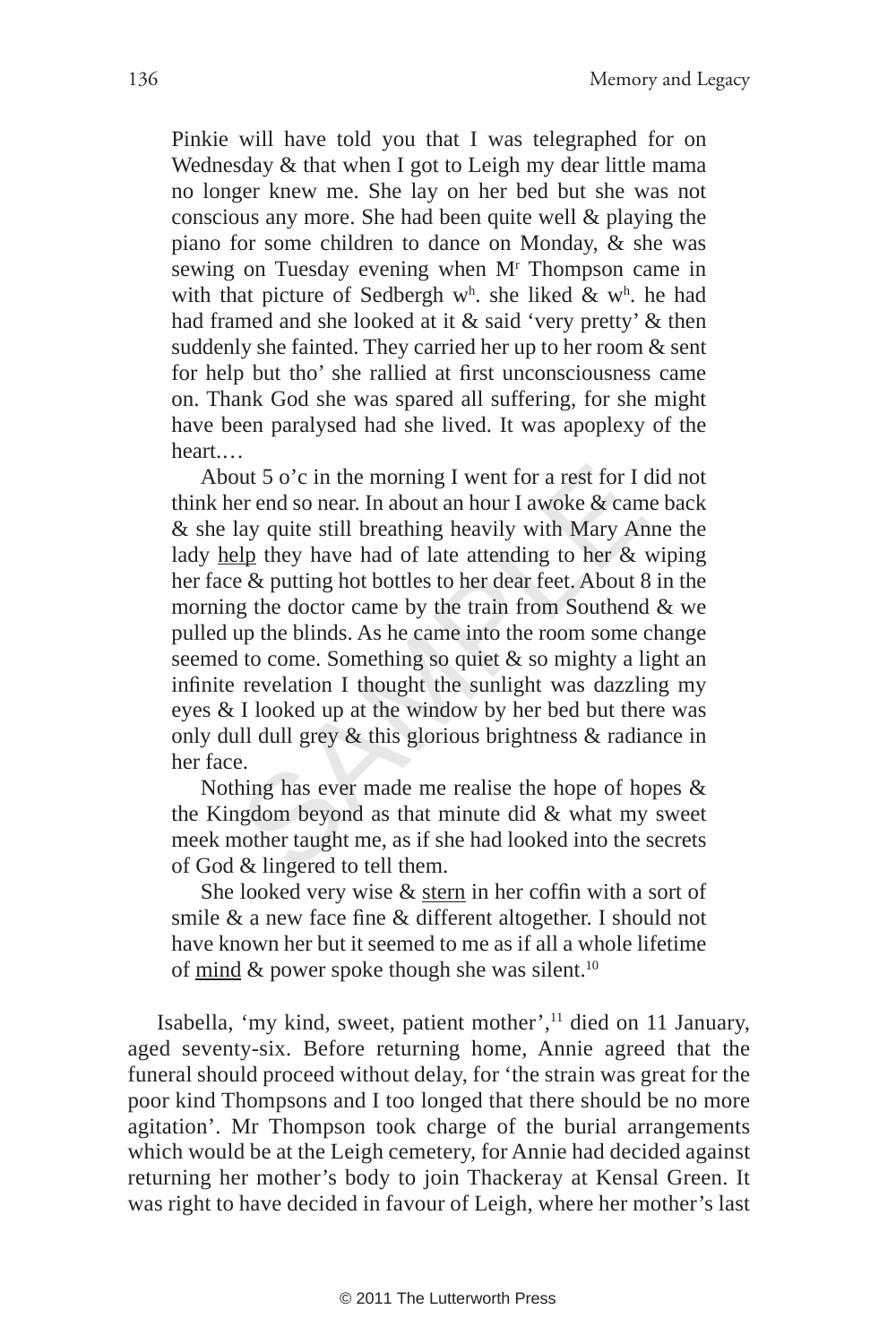Pinkie will have told you that I was telegraphed for on Wednesday & that when I got to Leigh my dear little mama no longer knew me. She lay on her bed but she was not conscious any more. She had been quite well & playing the piano for some children to dance on Monday, & she was sewing on Tuesday evening when M<sup>r</sup> Thompson came in with that picture of Sedbergh  $w<sup>h</sup>$ . she liked &  $w<sup>h</sup>$ . he had had framed and she looked at it & said 'very pretty' & then suddenly she fainted. They carried her up to her room & sent for help but tho' she rallied at first unconsciousness came on. Thank God she was spared all suffering, for she might have been paralysed had she lived. It was apoplexy of the heart.…

both 5 o'c in the morning I went for a rest for I er end so near. In about an hour I awoke & can<br>lay quite still breathing heavily with Mary Are  $\frac{10}{2}$  they have had of late attending to her &<br>e & putting hot bottles About 5 o'c in the morning I went for a rest for I did not think her end so near. In about an hour I awoke & came back & she lay quite still breathing heavily with Mary Anne the lady help they have had of late attending to her & wiping her face & putting hot bottles to her dear feet. About 8 in the morning the doctor came by the train from Southend & we pulled up the blinds. As he came into the room some change seemed to come. Something so quiet & so mighty a light an infinite revelation I thought the sunlight was dazzling my eyes & I looked up at the window by her bed but there was only dull dull grey & this glorious brightness & radiance in her face.

Nothing has ever made me realise the hope of hopes & the Kingdom beyond as that minute did & what my sweet meek mother taught me, as if she had looked into the secrets of God & lingered to tell them.

She looked very wise  $&$  stern in her coffin with a sort of smile & a new face fine & different altogether. I should not have known her but it seemed to me as if all a whole lifetime of mind  $\&$  power spoke though she was silent.<sup>10</sup>

Isabella, 'my kind, sweet, patient mother',<sup>11</sup> died on 11 January, aged seventy-six. Before returning home, Annie agreed that the funeral should proceed without delay, for 'the strain was great for the poor kind Thompsons and I too longed that there should be no more agitation'. Mr Thompson took charge of the burial arrangements which would be at the Leigh cemetery, for Annie had decided against returning her mother's body to join Thackeray at Kensal Green. It was right to have decided in favour of Leigh, where her mother's last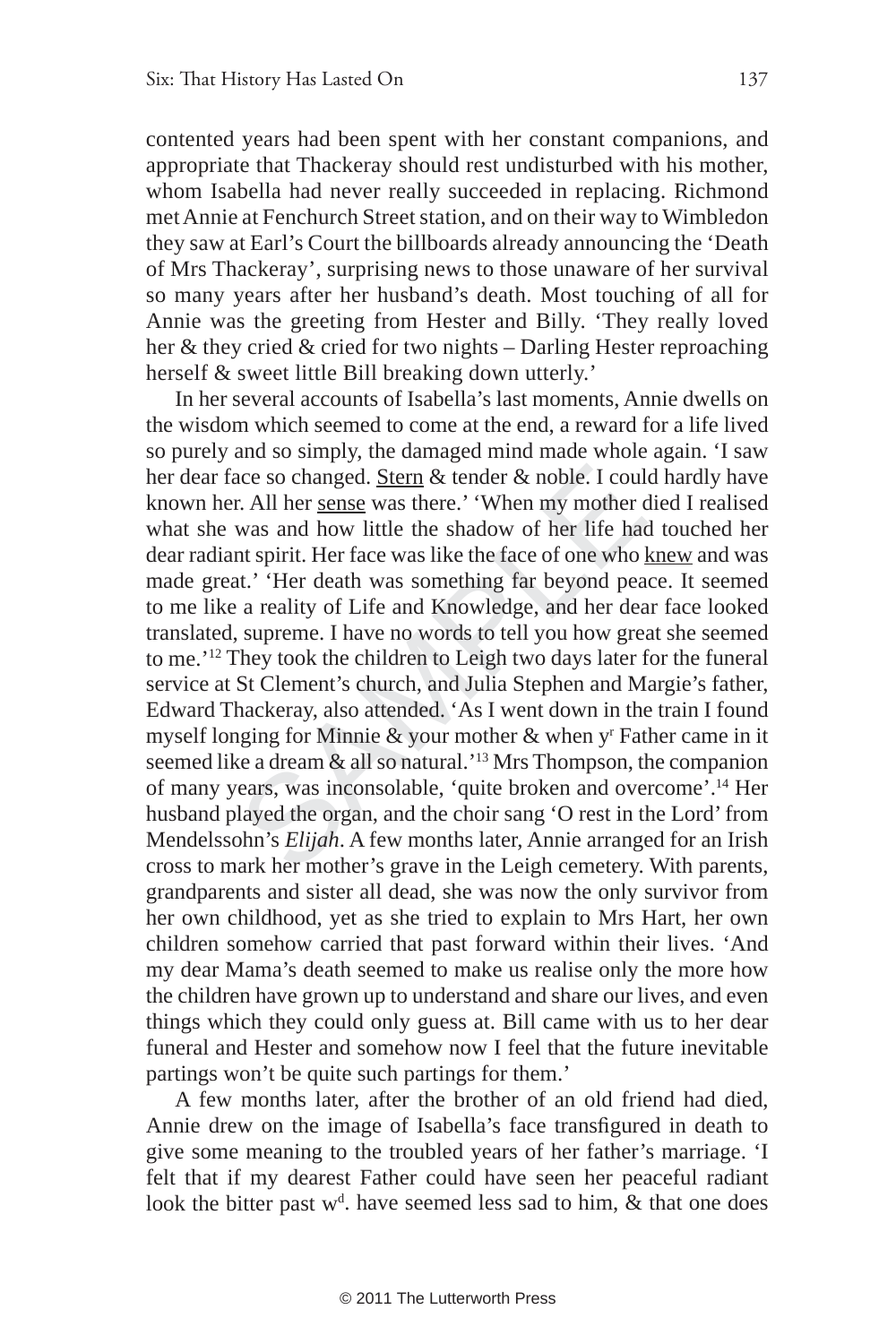contented years had been spent with her constant companions, and appropriate that Thackeray should rest undisturbed with his mother, whom Isabella had never really succeeded in replacing. Richmond met Annie at Fenchurch Street station, and on their way to Wimbledon they saw at Earl's Court the billboards already announcing the 'Death of Mrs Thackeray', surprising news to those unaware of her survival so many years after her husband's death. Most touching of all for Annie was the greeting from Hester and Billy. 'They really loved her & they cried & cried for two nights – Darling Hester reproaching herself & sweet little Bill breaking down utterly.'

ace so changed. <u>Stern</u> & tender & noble. I coul<br>r. All her <u>sense</u> was there.' 'When my mother was and how little the shadow of her life han<br>nt spirit. Her face was like the face of one who<br>at.' 'Her death was something f In her several accounts of Isabella's last moments, Annie dwells on the wisdom which seemed to come at the end, a reward for a life lived so purely and so simply, the damaged mind made whole again. 'I saw her dear face so changed. Stern & tender & noble. I could hardly have known her. All her sense was there.' 'When my mother died I realised what she was and how little the shadow of her life had touched her dear radiant spirit. Her face was like the face of one who knew and was made great.' 'Her death was something far beyond peace. It seemed to me like a reality of Life and Knowledge, and her dear face looked translated, supreme. I have no words to tell you how great she seemed to me.'12 They took the children to Leigh two days later for the funeral service at St Clement's church, and Julia Stephen and Margie's father, Edward Thackeray, also attended. 'As I went down in the train I found myself longing for Minnie & your mother & when y' Father came in it seemed like a dream & all so natural.'13 Mrs Thompson, the companion of many years, was inconsolable, 'quite broken and overcome'.14 Her husband played the organ, and the choir sang 'O rest in the Lord' from Mendelssohn's *Elijah*. A few months later, Annie arranged for an Irish cross to mark her mother's grave in the Leigh cemetery. With parents, grandparents and sister all dead, she was now the only survivor from her own childhood, yet as she tried to explain to Mrs Hart, her own children somehow carried that past forward within their lives. 'And my dear Mama's death seemed to make us realise only the more how the children have grown up to understand and share our lives, and even things which they could only guess at. Bill came with us to her dear funeral and Hester and somehow now I feel that the future inevitable partings won't be quite such partings for them.'

A few months later, after the brother of an old friend had died, Annie drew on the image of Isabella's face transfigured in death to give some meaning to the troubled years of her father's marriage. 'I felt that if my dearest Father could have seen her peaceful radiant look the bitter past w<sup>d</sup>. have seemed less sad to him, & that one does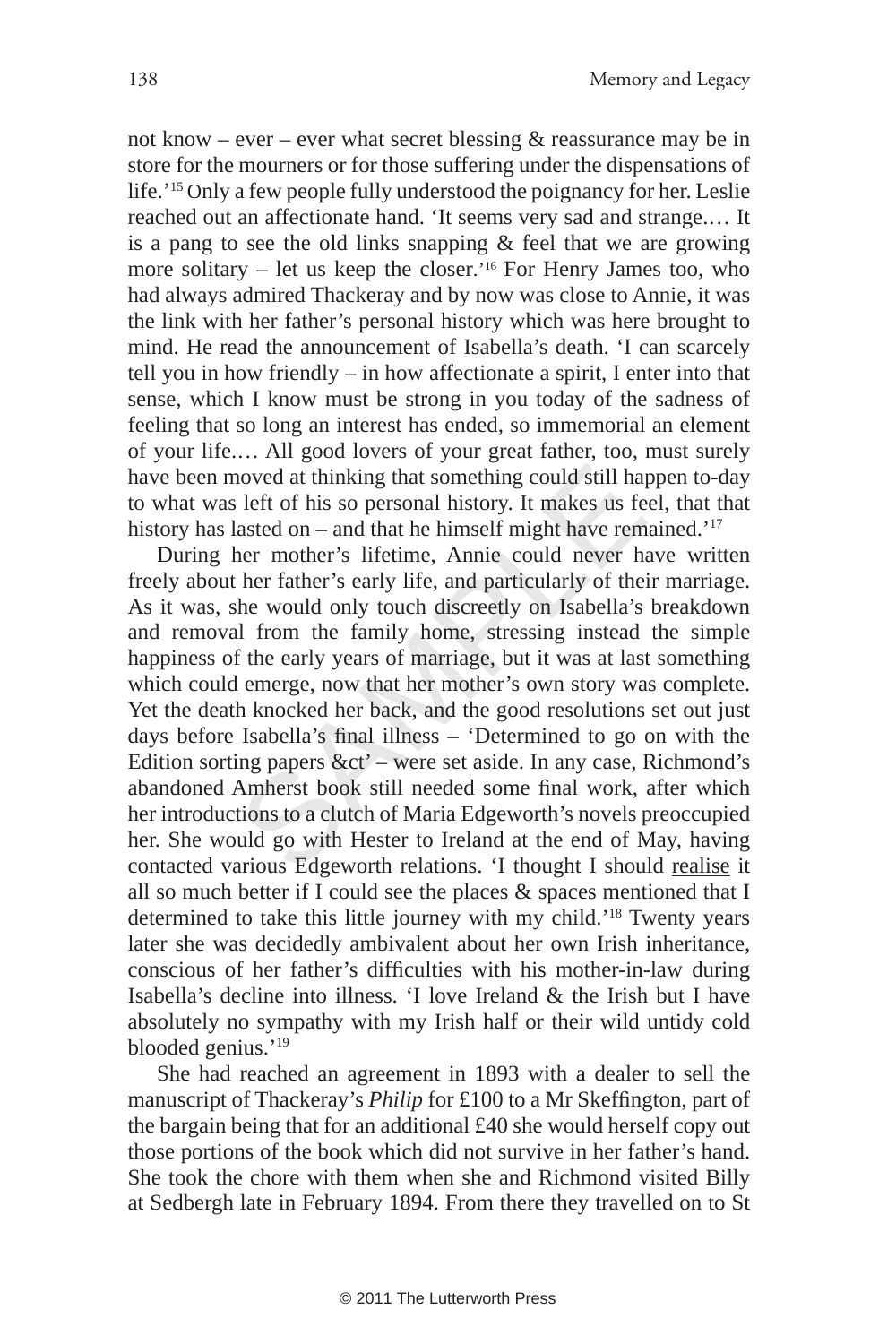not know – ever – ever what secret blessing  $\&$  reassurance may be in store for the mourners or for those suffering under the dispensations of life.'15 Only a few people fully understood the poignancy for her. Leslie reached out an affectionate hand. 'It seems very sad and strange.… It is a pang to see the old links snapping & feel that we are growing more solitary – let us keep the closer.'16 For Henry James too, who had always admired Thackeray and by now was close to Annie, it was the link with her father's personal history which was here brought to mind. He read the announcement of Isabella's death. 'I can scarcely tell you in how friendly – in how affectionate a spirit, I enter into that sense, which I know must be strong in you today of the sadness of feeling that so long an interest has ended, so immemorial an element of your life.… All good lovers of your great father, too, must surely have been moved at thinking that something could still happen to-day to what was left of his so personal history. It makes us feel, that that history has lasted on – and that he himself might have remained.'<sup>17</sup>

noved at thinking that something could still has left of his so personal history. It makes us fe lasted on – and that he himself might have rem her mother's lifetime, Annie could never h ther father's early life, and parti During her mother's lifetime, Annie could never have written freely about her father's early life, and particularly of their marriage. As it was, she would only touch discreetly on Isabella's breakdown and removal from the family home, stressing instead the simple happiness of the early years of marriage, but it was at last something which could emerge, now that her mother's own story was complete. Yet the death knocked her back, and the good resolutions set out just days before Isabella's final illness - 'Determined to go on with the Edition sorting papers  $&ct'$  – were set aside. In any case, Richmond's abandoned Amherst book still needed some final work, after which her introductions to a clutch of Maria Edgeworth's novels preoccupied her. She would go with Hester to Ireland at the end of May, having contacted various Edgeworth relations. 'I thought I should realise it all so much better if I could see the places  $\&$  spaces mentioned that I determined to take this little journey with my child.'18 Twenty years later she was decidedly ambivalent about her own Irish inheritance, conscious of her father's difficulties with his mother-in-law during Isabella's decline into illness. 'I love Ireland & the Irish but I have absolutely no sympathy with my Irish half or their wild untidy cold blooded genius.'19

She had reached an agreement in 1893 with a dealer to sell the manuscript of Thackeray's *Philip* for £100 to a Mr Skeffington, part of the bargain being that for an additional £40 she would herself copy out those portions of the book which did not survive in her father's hand. She took the chore with them when she and Richmond visited Billy at Sedbergh late in February 1894. From there they travelled on to St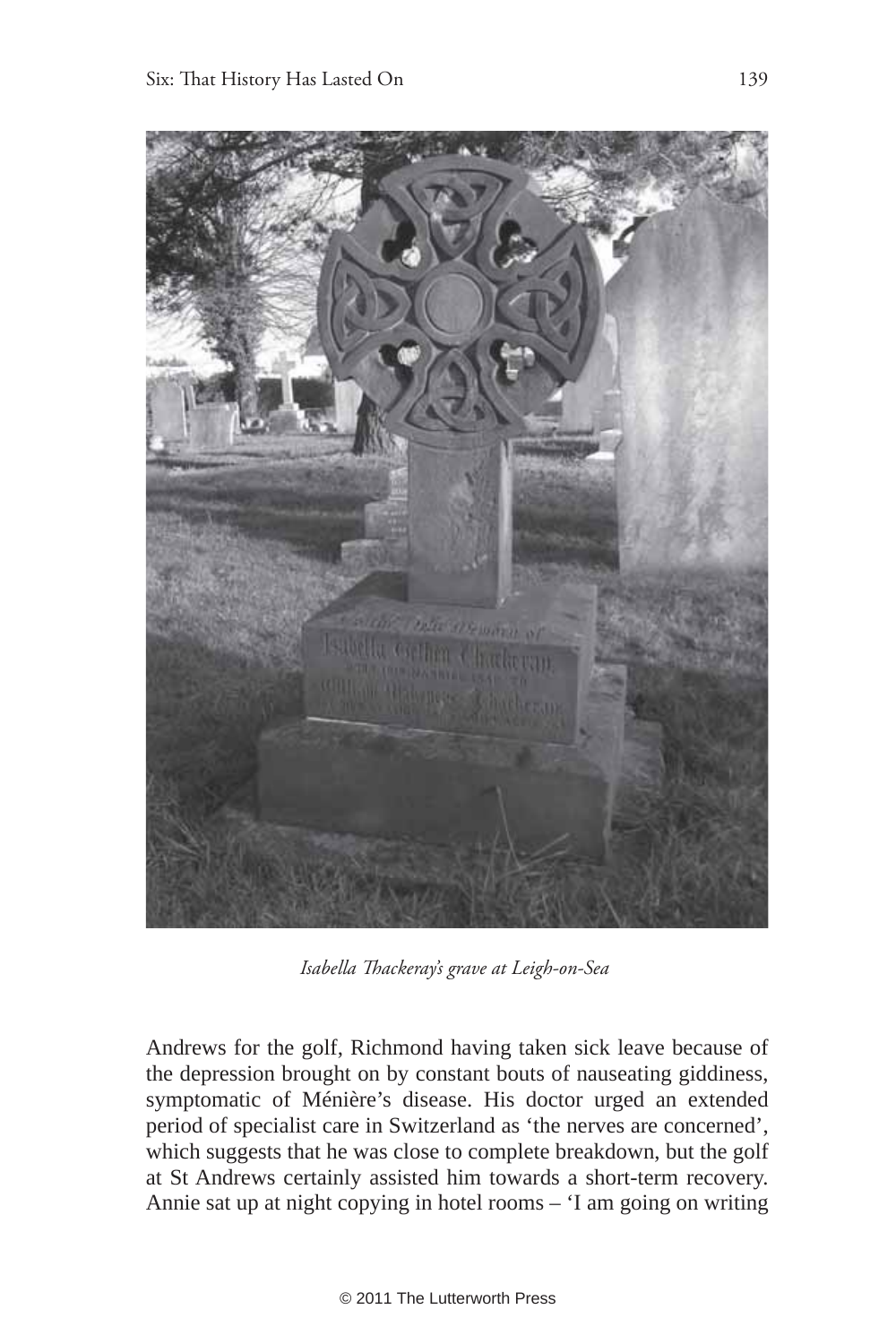

*Isabella Th ackeray's grave at Leigh-on-Sea*

Andrews for the golf, Richmond having taken sick leave because of the depression brought on by constant bouts of nauseating giddiness, symptomatic of Ménière's disease. His doctor urged an extended period of specialist care in Switzerland as 'the nerves are concerned', which suggests that he was close to complete breakdown, but the golf at St Andrews certainly assisted him towards a short-term recovery. Annie sat up at night copying in hotel rooms – 'I am going on writing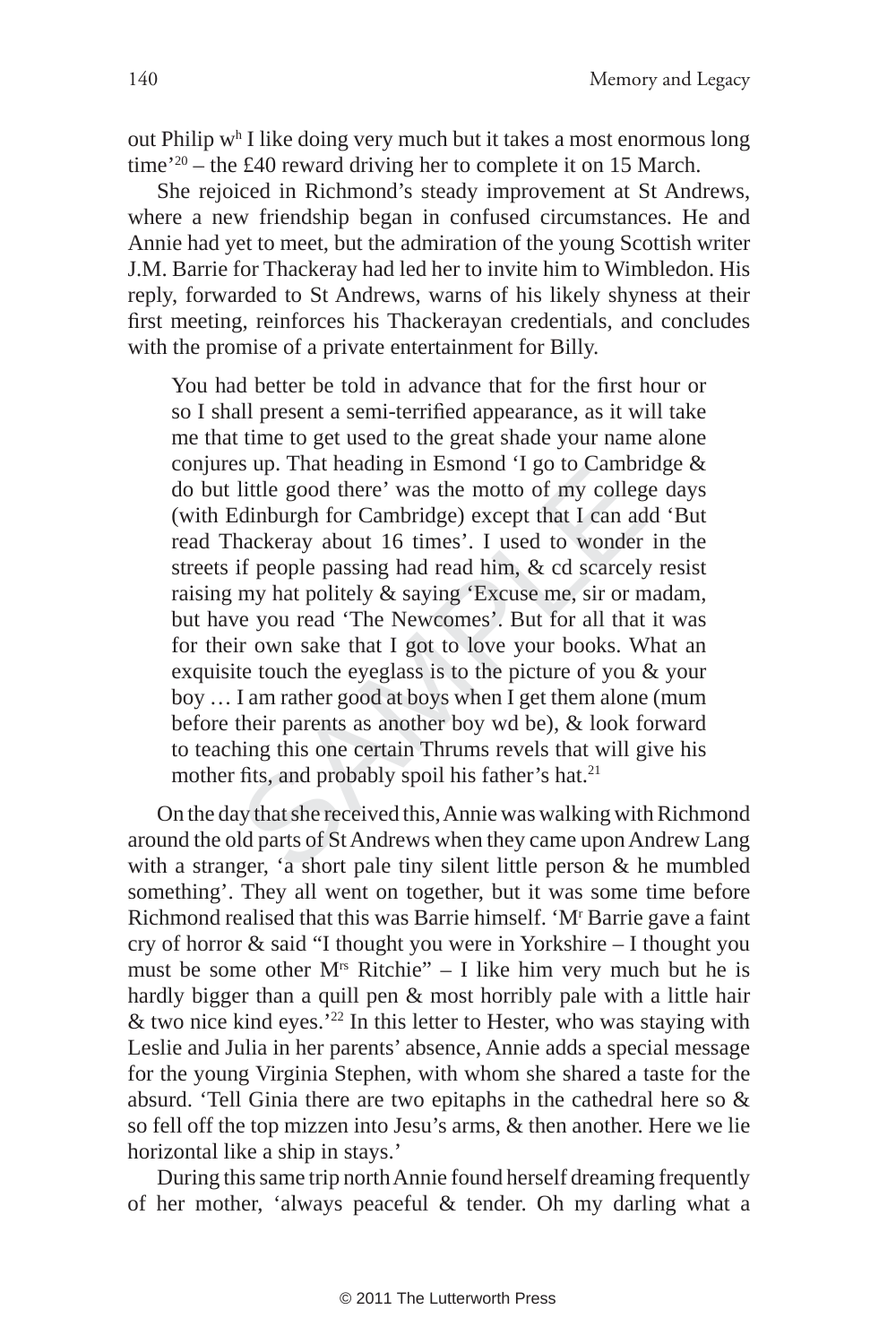out Philip w h I like doing very much but it takes a most enormous long time'20 – the £40 reward driving her to complete it on 15 March.

She rejoiced in Richmond's steady improvement at St Andrews, where a new friendship began in confused circumstances. He and Annie had yet to meet, but the admiration of the young Scottish writer J.M. Barrie for Thackeray had led her to invite him to Wimbledon. His reply, forwarded to St Andrews, warns of his likely shyness at their first meeting, reinforces his Thackerayan credentials, and concludes with the promise of a private entertainment for Billy.

if the good there' was the motto of my colleged<br>inburgh for Cambridge) except that I can ac<br>hackeray about 16 times'. I used to wonder<br>if people passing had read him, & cd scarcely<br>my hat politely & saying 'Excuse me, sir You had better be told in advance that for the first hour or so I shall present a semi-terrified appearance, as it will take me that time to get used to the great shade your name alone conjures up. That heading in Esmond 'I go to Cambridge & do but little good there' was the motto of my college days (with Edinburgh for Cambridge) except that I can add 'But read Thackeray about 16 times'. I used to wonder in the streets if people passing had read him, & cd scarcely resist raising my hat politely & saying 'Excuse me, sir or madam, but have you read 'The Newcomes'. But for all that it was for their own sake that I got to love your books. What an exquisite touch the eyeglass is to the picture of you & your boy … I am rather good at boys when I get them alone (mum before their parents as another boy wd be), & look forward to teaching this one certain Thrums revels that will give his mother fits, and probably spoil his father's hat.<sup>21</sup>

On the day that she received this, Annie was walking with Richmond around the old parts of St Andrews when they came upon Andrew Lang with a stranger, 'a short pale tiny silent little person & he mumbled something'. They all went on together, but it was some time before Richmond realised that this was Barrie himself. 'M' Barrie gave a faint cry of horror & said "I thought you were in Yorkshire – I thought you must be some other  $M<sup>rs</sup>$  Ritchie" – I like him very much but he is hardly bigger than a quill pen & most horribly pale with a little hair  $\&$  two nice kind eyes.'<sup>22</sup> In this letter to Hester, who was staying with Leslie and Julia in her parents' absence, Annie adds a special message for the young Virginia Stephen, with whom she shared a taste for the absurd. 'Tell Ginia there are two epitaphs in the cathedral here so & so fell off the top mizzen into Jesu's arms, & then another. Here we lie horizontal like a ship in stays.'

During this same trip north Annie found herself dreaming frequently of her mother, 'always peaceful & tender. Oh my darling what a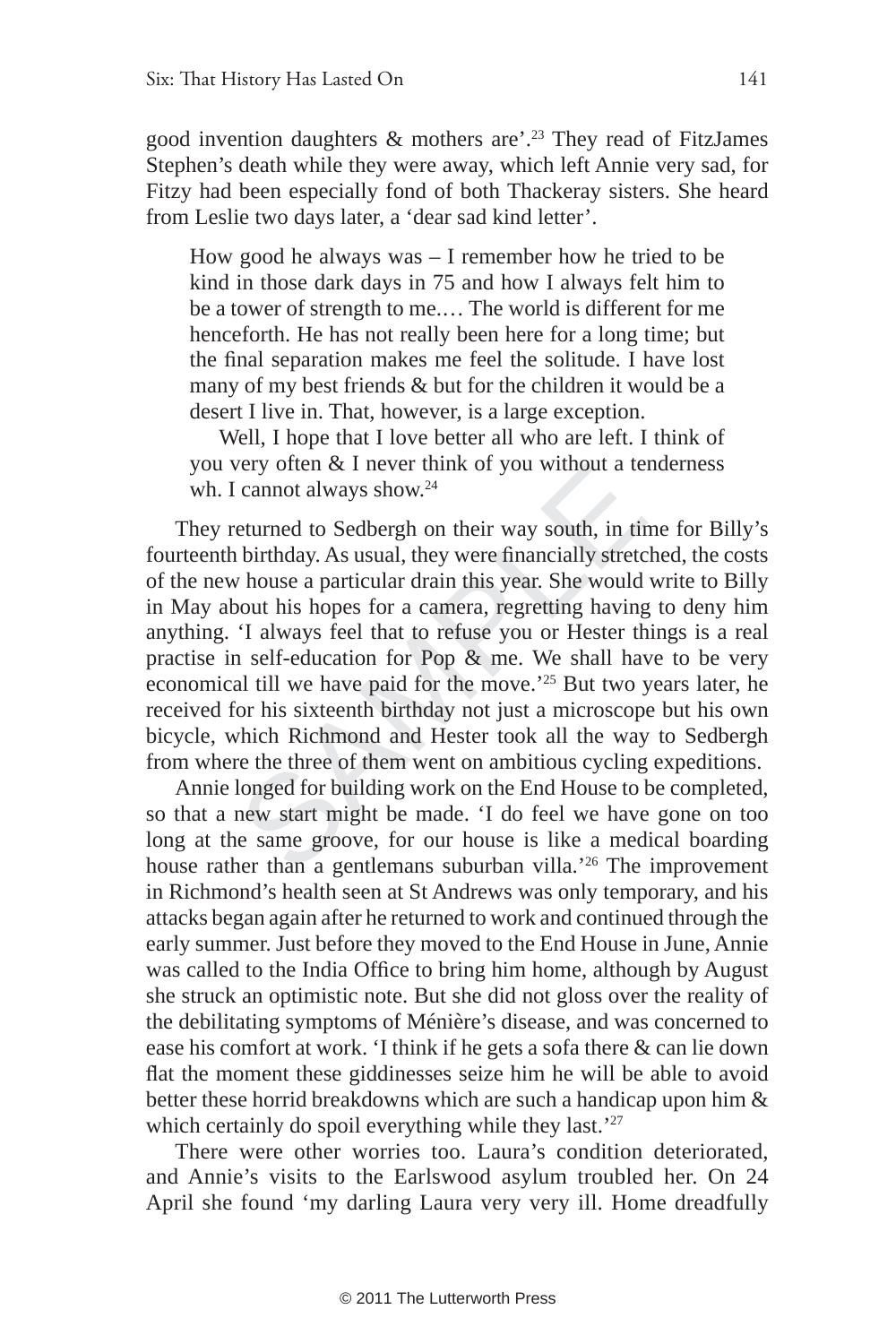good invention daughters  $\&$  mothers are'.<sup>23</sup> They read of FitzJames Stephen's death while they were away, which left Annie very sad, for Fitzy had been especially fond of both Thackeray sisters. She heard from Leslie two days later, a 'dear sad kind letter'.

How good he always was – I remember how he tried to be kind in those dark days in 75 and how I always felt him to be a tower of strength to me.… The world is different for me henceforth. He has not really been here for a long time; but the final separation makes me feel the solitude. I have lost many of my best friends & but for the children it would be a desert I live in. That, however, is a large exception.

Well, I hope that I love better all who are left. I think of you very often & I never think of you without a tenderness wh. I cannot always show.<sup>24</sup>

bery often  $\alpha$  I hever think of you without a teld cannot always show.<sup>24</sup><br>
deturned to Sedbergh on their way south, in the birthday. As usual, they were financially stretted v house a particular drain this year. She wou They returned to Sedbergh on their way south, in time for Billy's fourteenth birthday. As usual, they were financially stretched, the costs of the new house a particular drain this year. She would write to Billy in May about his hopes for a camera, regretting having to deny him anything. 'I always feel that to refuse you or Hester things is a real practise in self-education for Pop & me. We shall have to be very economical till we have paid for the move.'25 But two years later, he received for his sixteenth birthday not just a microscope but his own bicycle, which Richmond and Hester took all the way to Sedbergh from where the three of them went on ambitious cycling expeditions.

Annie longed for building work on the End House to be completed, so that a new start might be made. 'I do feel we have gone on too long at the same groove, for our house is like a medical boarding house rather than a gentlemans suburban villa.<sup>'26</sup> The improvement in Richmond's health seen at St Andrews was only temporary, and his attacks began again after he returned to work and continued through the early summer. Just before they moved to the End House in June, Annie was called to the India Office to bring him home, although by August she struck an optimistic note. But she did not gloss over the reality of the debilitating symptoms of Ménière's disease, and was concerned to ease his comfort at work. 'I think if he gets a sofa there & can lie down flat the moment these giddinesses seize him he will be able to avoid better these horrid breakdowns which are such a handicap upon him & which certainly do spoil everything while they last.<sup>'27</sup>

There were other worries too. Laura's condition deteriorated, and Annie's visits to the Earlswood asylum troubled her. On 24 April she found 'my darling Laura very very ill. Home dreadfully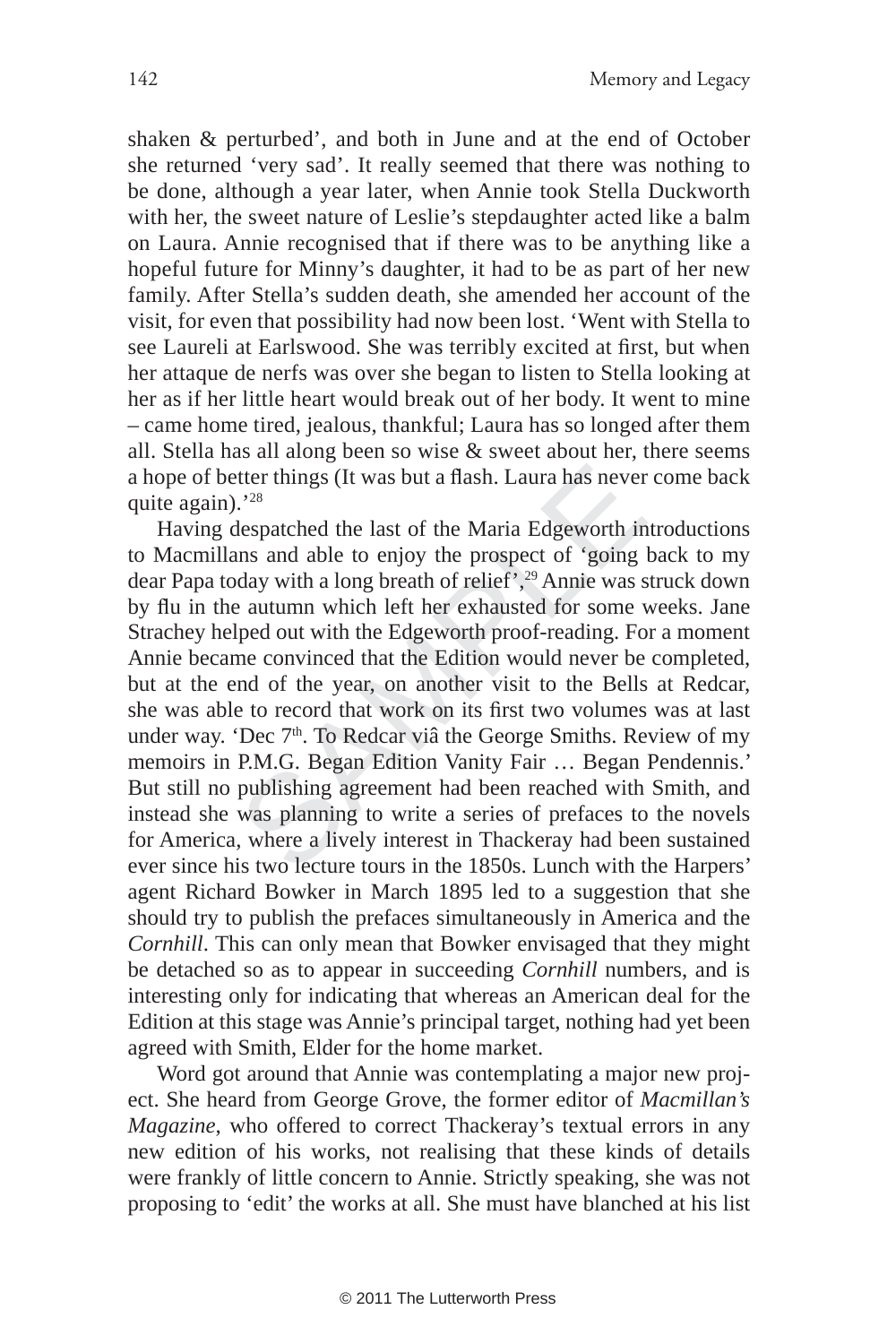shaken & perturbed', and both in June and at the end of October she returned 'very sad'. It really seemed that there was nothing to be done, although a year later, when Annie took Stella Duckworth with her, the sweet nature of Leslie's stepdaughter acted like a balm on Laura. Annie recognised that if there was to be anything like a hopeful future for Minny's daughter, it had to be as part of her new family. After Stella's sudden death, she amended her account of the visit, for even that possibility had now been lost. 'Went with Stella to see Laureli at Earlswood. She was terribly excited at first, but when her attaque de nerfs was over she began to listen to Stella looking at her as if her little heart would break out of her body. It went to mine – came home tired, jealous, thankful; Laura has so longed after them all. Stella has all along been so wise & sweet about her, there seems a hope of better things (It was but a flash. Laura has never come back quite again).'28

2<sup>28</sup><br>
2<sup>28</sup><br>
2<sup>28</sup><br>
2<sup>28</sup><br>
2<sup>28</sup><br>
2<sup>28</sup><br>
2<sup>28</sup><br>
2<sup>28</sup><br>
2<sup>28</sup><br>
2<sup>28</sup><br>
2<sup>28</sup><br>
2<sup>28</sup><br>
2<sup>28</sup><br>
2<sup>28</sup><br>
2<sup>28</sup><br>
2<sup>28</sup><br>
2<sup>28</sup><br>
2<sup>28</sup><br>
3<sup>28</sup><br>
3<sup>28</sup><br>
3<sup>29</sup><br>
3<sup>29</sup><br>
3<sup>29</sup><br>
3<sup>29</sup><br>
3<sup>29</sup><br>
3<sup>29</sup><br>
3<sup>29</sup><br>
3<sup>29</sup><br>
3<sup>29</sup><br>
3<sup>29</sup><br>
3<sup>29</sup><br>
3<sup>29</sup> Having despatched the last of the Maria Edgeworth introductions to Macmillans and able to enjoy the prospect of 'going back to my dear Papa today with a long breath of relief',29 Annie was struck down by flu in the autumn which left her exhausted for some weeks. Jane Strachey helped out with the Edgeworth proof-reading. For a moment Annie became convinced that the Edition would never be completed, but at the end of the year, on another visit to the Bells at Redcar, she was able to record that work on its first two volumes was at last under way. 'Dec  $7<sup>th</sup>$ . To Redcar viâ the George Smiths. Review of my memoirs in P.M.G. Began Edition Vanity Fair … Began Pendennis.' But still no publishing agreement had been reached with Smith, and instead she was planning to write a series of prefaces to the novels for America, where a lively interest in Thackeray had been sustained ever since his two lecture tours in the 1850s. Lunch with the Harpers' agent Richard Bowker in March 1895 led to a suggestion that she should try to publish the prefaces simultaneously in America and the *Cornhill*. This can only mean that Bowker envisaged that they might be detached so as to appear in succeeding *Cornhill* numbers, and is interesting only for indicating that whereas an American deal for the Edition at this stage was Annie's principal target, nothing had yet been agreed with Smith, Elder for the home market.

Word got around that Annie was contemplating a major new project. She heard from George Grove, the former editor of *Macmillan's Magazine*, who offered to correct Thackeray's textual errors in any new edition of his works, not realising that these kinds of details were frankly of little concern to Annie. Strictly speaking, she was not proposing to 'edit' the works at all. She must have blanched at his list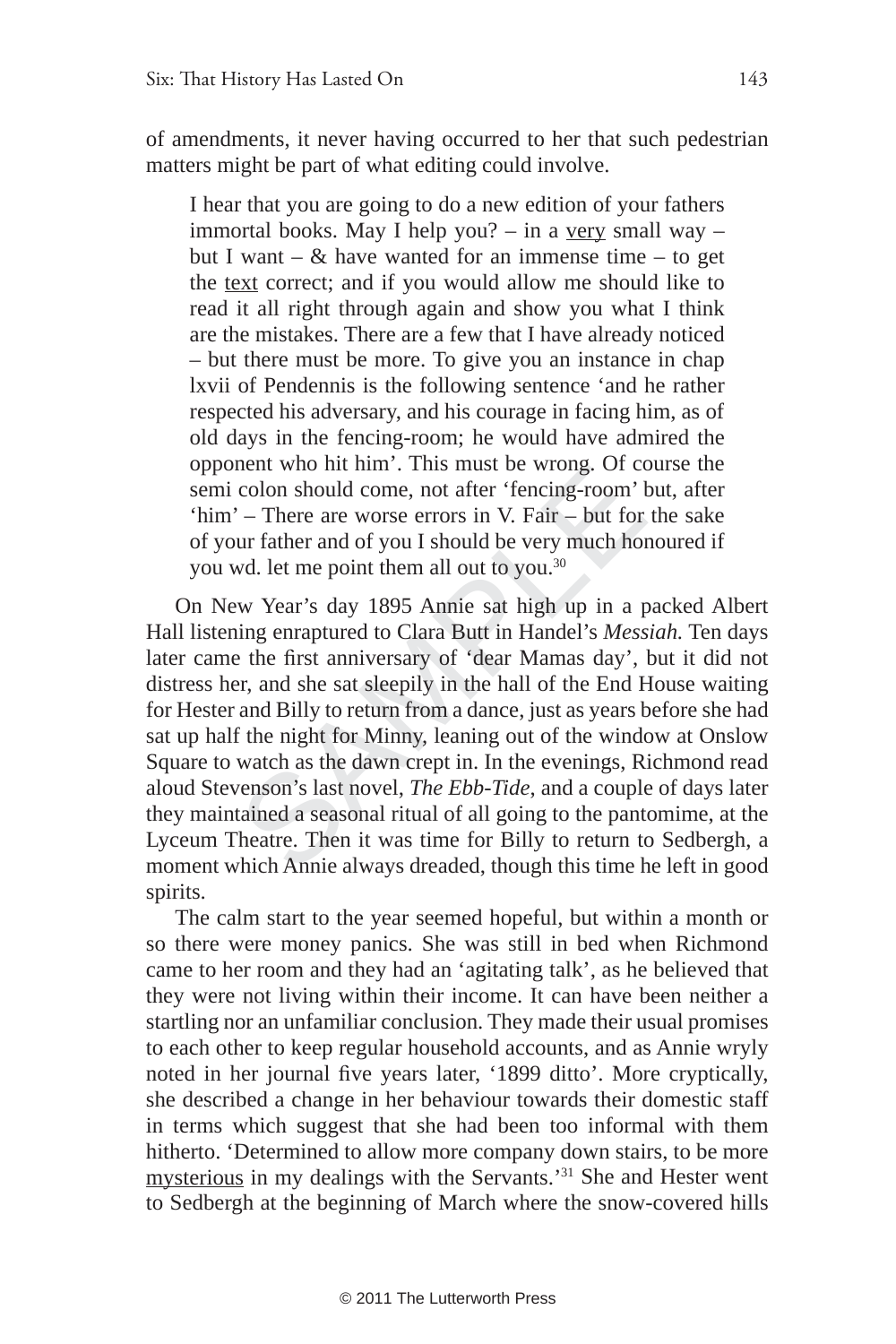of amendments, it never having occurred to her that such pedestrian matters might be part of what editing could involve.

I hear that you are going to do a new edition of your fathers immortal books. May I help you? – in a very small way – but I want –  $\&$  have wanted for an immense time – to get the text correct; and if you would allow me should like to read it all right through again and show you what I think are the mistakes. There are a few that I have already noticed – but there must be more. To give you an instance in chap lxvii of Pendennis is the following sentence 'and he rather respected his adversary, and his courage in facing him, as of old days in the fencing-room; he would have admired the opponent who hit him'. This must be wrong. Of course the semi colon should come, not after 'fencing-room' but, after 'him' – There are worse errors in V. Fair – but for the sake of your father and of you I should be very much honoured if you wd. let me point them all out to you.30

ment who int nint. This must be wrong. Of cc<br>colon should come, not after 'fencing-room'<br>' – There are worse errors in V. Fair – but for<br>our father and of you I should be very much ho<br>wd. let me point them all out to you.<sup></sup> On New Year's day 1895 Annie sat high up in a packed Albert Hall listening enraptured to Clara Butt in Handel's *Messiah.* Ten days later came the first anniversary of 'dear Mamas day', but it did not distress her, and she sat sleepily in the hall of the End House waiting for Hester and Billy to return from a dance, just as years before she had sat up half the night for Minny, leaning out of the window at Onslow Square to watch as the dawn crept in. In the evenings, Richmond read aloud Stevenson's last novel, *The Ebb-Tide*, and a couple of days later they maintained a seasonal ritual of all going to the pantomime, at the Lyceum Theatre. Then it was time for Billy to return to Sedbergh, a moment which Annie always dreaded, though this time he left in good spirits.

The calm start to the year seemed hopeful, but within a month or so there were money panics. She was still in bed when Richmond came to her room and they had an 'agitating talk', as he believed that they were not living within their income. It can have been neither a startling nor an unfamiliar conclusion. They made their usual promises to each other to keep regular household accounts, and as Annie wryly noted in her journal five years later, '1899 ditto'. More cryptically, she described a change in her behaviour towards their domestic staff in terms which suggest that she had been too informal with them hitherto. 'Determined to allow more company down stairs, to be more mysterious in my dealings with the Servants.'31 She and Hester went to Sedbergh at the beginning of March where the snow-covered hills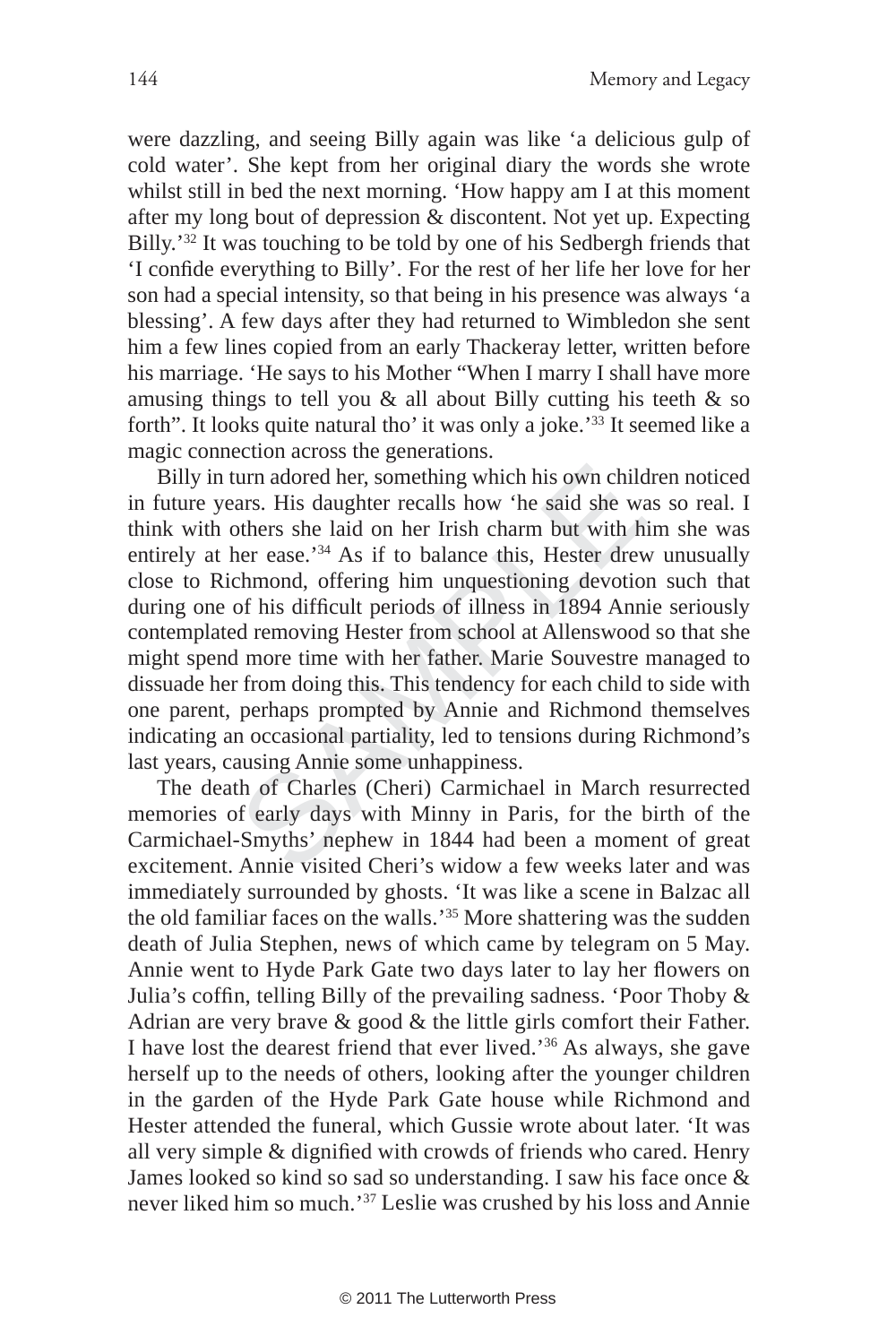were dazzling, and seeing Billy again was like 'a delicious gulp of cold water'. She kept from her original diary the words she wrote whilst still in bed the next morning. 'How happy am I at this moment after my long bout of depression & discontent. Not yet up. Expecting Billy.'32 It was touching to be told by one of his Sedbergh friends that 'I confide everything to Billy'. For the rest of her life her love for her son had a special intensity, so that being in his presence was always 'a blessing'. A few days after they had returned to Wimbledon she sent him a few lines copied from an early Thackeray letter, written before his marriage. 'He says to his Mother "When I marry I shall have more amusing things to tell you  $\&$  all about Billy cutting his teeth  $\&$  so forth". It looks quite natural tho' it was only a joke.'33 It seemed like a magic connection across the generations.

turn adored her, something which his own child<br>ars. His daughter recalls how 'he said she was<br>others she laid on her Irish charm but with h<br>her ease.<sup>734</sup> As if to balance this, Hester drev<br>chmond, offering him unquestioni Billy in turn adored her, something which his own children noticed in future years. His daughter recalls how 'he said she was so real. I think with others she laid on her Irish charm but with him she was entirely at her ease.<sup>34</sup> As if to balance this, Hester drew unusually close to Richmond, offering him unquestioning devotion such that during one of his difficult periods of illness in 1894 Annie seriously contemplated removing Hester from school at Allenswood so that she might spend more time with her father. Marie Souvestre managed to dissuade her from doing this. This tendency for each child to side with one parent, perhaps prompted by Annie and Richmond themselves indicating an occasional partiality, led to tensions during Richmond's last years, causing Annie some unhappiness.

The death of Charles (Cheri) Carmichael in March resurrected memories of early days with Minny in Paris, for the birth of the Carmichael-Smyths' nephew in 1844 had been a moment of great excitement. Annie visited Cheri's widow a few weeks later and was immediately surrounded by ghosts. 'It was like a scene in Balzac all the old familiar faces on the walls.'35 More shattering was the sudden death of Julia Stephen, news of which came by telegram on 5 May. Annie went to Hyde Park Gate two days later to lay her flowers on Julia's coffin, telling Billy of the prevailing sadness. 'Poor Thoby  $\&$ Adrian are very brave & good & the little girls comfort their Father. I have lost the dearest friend that ever lived.'36 As always, she gave herself up to the needs of others, looking after the younger children in the garden of the Hyde Park Gate house while Richmond and Hester attended the funeral, which Gussie wrote about later. 'It was all very simple & dignified with crowds of friends who cared. Henry James looked so kind so sad so understanding. I saw his face once & never liked him so much.'37 Leslie was crushed by his loss and Annie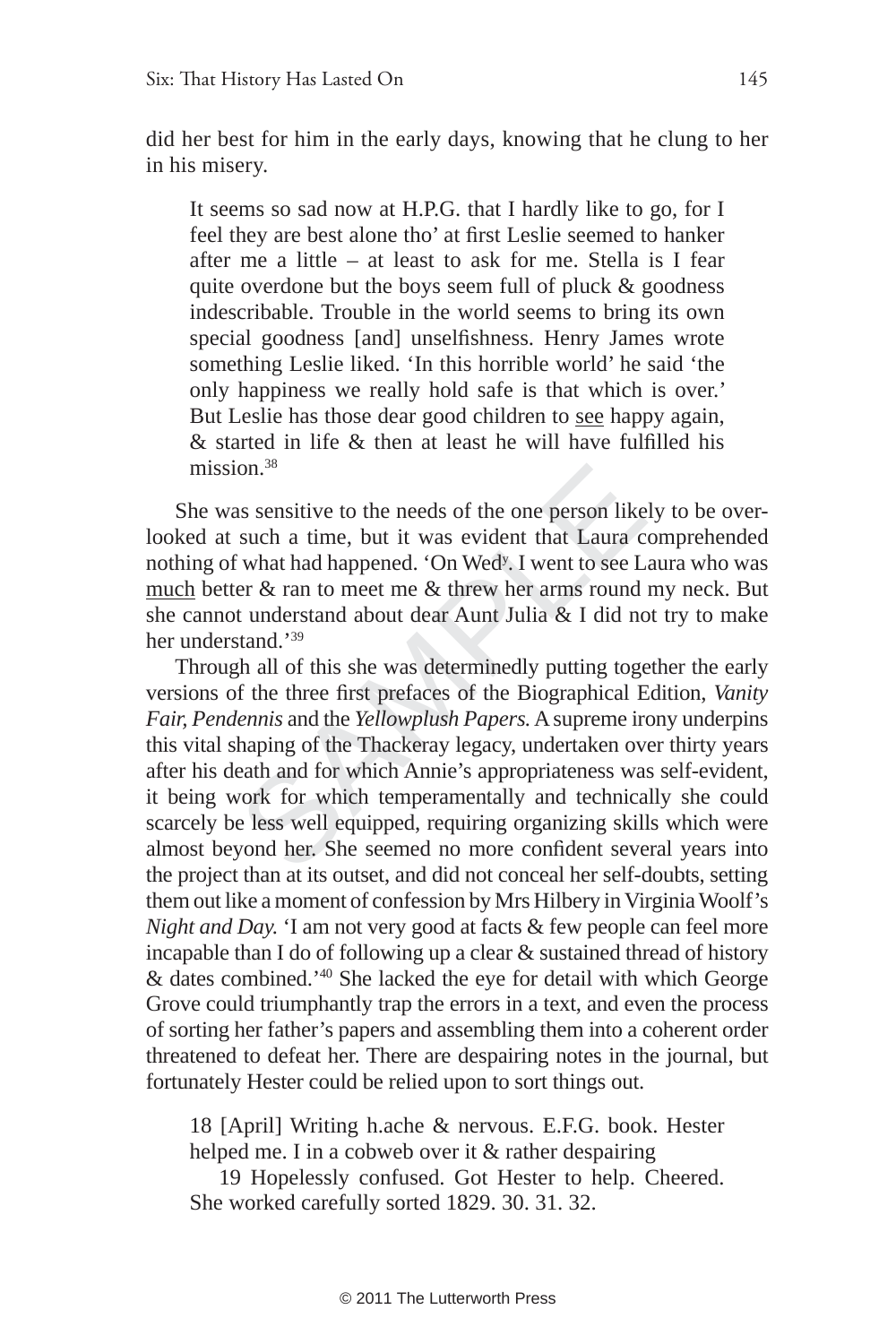did her best for him in the early days, knowing that he clung to her in his misery.

It seems so sad now at H.P.G. that I hardly like to go, for I feel they are best alone tho' at first Leslie seemed to hanker after me a little – at least to ask for me. Stella is I fear quite overdone but the boys seem full of pluck & goodness indescribable. Trouble in the world seems to bring its own special goodness [and] unselfishness. Henry James wrote something Leslie liked. 'In this horrible world' he said 'the only happiness we really hold safe is that which is over.' But Leslie has those dear good children to see happy again,  $&$  started in life  $&$  then at least he will have fulfilled his mission<sup>38</sup>

She was sensitive to the needs of the one person likely to be overlooked at such a time, but it was evident that Laura comprehended nothing of what had happened. 'On Wed<sup>y</sup>. I went to see Laura who was much better & ran to meet me & threw her arms round my neck. But she cannot understand about dear Aunt Julia & I did not try to make her understand.'39

ion.<sup>36</sup><br>as sensitive to the needs of the one person like<br>such a time, but it was evident that Laura c<br>f what had happened. 'On Wed<sup>y</sup>. I went to see L<br>er & ran to meet me & threw her arms round<br>t understand about dear Au Through all of this she was determinedly putting together the early versions of the three first prefaces of the Biographical Edition, *Vanity Fair, Pendennis* and the *Yellowplush Papers.* A supreme irony underpins this vital shaping of the Thackeray legacy, undertaken over thirty years after his death and for which Annie's appropriateness was self-evident, it being work for which temperamentally and technically she could scarcely be less well equipped, requiring organizing skills which were almost beyond her. She seemed no more confident several years into the project than at its outset, and did not conceal her self-doubts, setting them out like a moment of confession by Mrs Hilbery in Virginia Woolf's *Night and Day.* 'I am not very good at facts & few people can feel more incapable than I do of following up a clear & sustained thread of history & dates combined.'40 She lacked the eye for detail with which George Grove could triumphantly trap the errors in a text, and even the process of sorting her father's papers and assembling them into a coherent order threatened to defeat her. There are despairing notes in the journal, but fortunately Hester could be relied upon to sort things out.

18 [April] Writing h.ache & nervous. E.F.G. book. Hester helped me. I in a cobweb over it & rather despairing

19 Hopelessly confused. Got Hester to help. Cheered. She worked carefully sorted 1829. 30. 31. 32.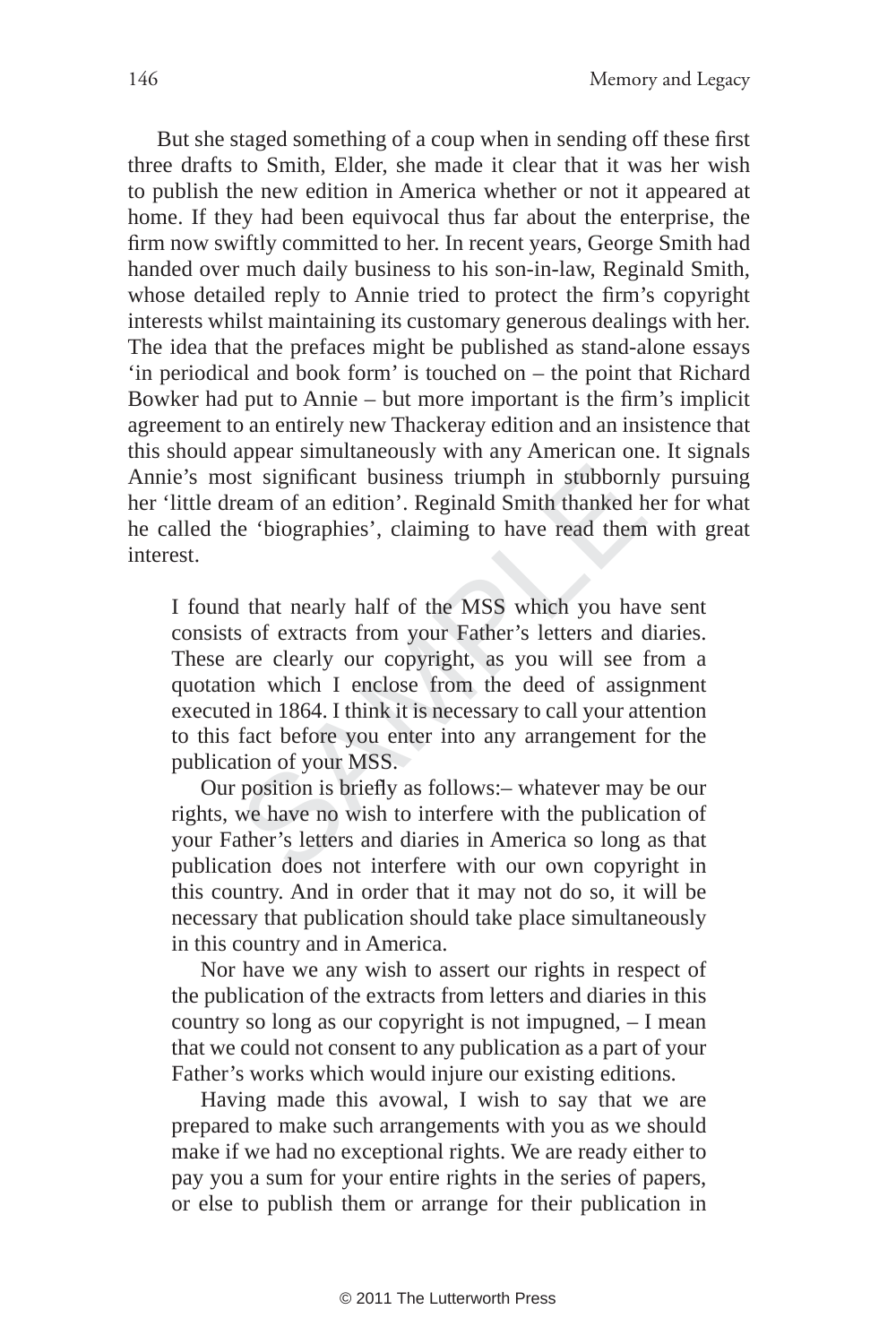But she staged something of a coup when in sending off these first three drafts to Smith, Elder, she made it clear that it was her wish to publish the new edition in America whether or not it appeared at home. If they had been equivocal thus far about the enterprise, the firm now swiftly committed to her. In recent years, George Smith had handed over much daily business to his son-in-law, Reginald Smith, whose detailed reply to Annie tried to protect the firm's copyright interests whilst maintaining its customary generous dealings with her. The idea that the prefaces might be published as stand-alone essays 'in periodical and book form' is touched on – the point that Richard Bowker had put to Annie – but more important is the firm's implicit agreement to an entirely new Thackeray edition and an insistence that this should appear simultaneously with any American one. It signals Annie's most significant business triumph in stubbornly pursuing her 'little dream of an edition'. Reginald Smith thanked her for what he called the 'biographies', claiming to have read them with great interest.

Solution is straining to the straining in stubborn<br>team of an edition'. Reginald Smith thanked he 'biographies', claiming to have read them<br>de 'biographies', claiming to have read them<br>as of extracts from your Father's let I found that nearly half of the MSS which you have sent consists of extracts from your Father's letters and diaries. These are clearly our copyright, as you will see from a quotation which I enclose from the deed of assignment executed in 1864. I think it is necessary to call your attention to this fact before you enter into any arrangement for the publication of your MSS.

Our position is briefly as follows: – whatever may be our rights, we have no wish to interfere with the publication of your Father's letters and diaries in America so long as that publication does not interfere with our own copyright in this country. And in order that it may not do so, it will be necessary that publication should take place simultaneously in this country and in America.

Nor have we any wish to assert our rights in respect of the publication of the extracts from letters and diaries in this country so long as our copyright is not impugned, – I mean that we could not consent to any publication as a part of your Father's works which would injure our existing editions.

Having made this avowal, I wish to say that we are prepared to make such arrangements with you as we should make if we had no exceptional rights. We are ready either to pay you a sum for your entire rights in the series of papers, or else to publish them or arrange for their publication in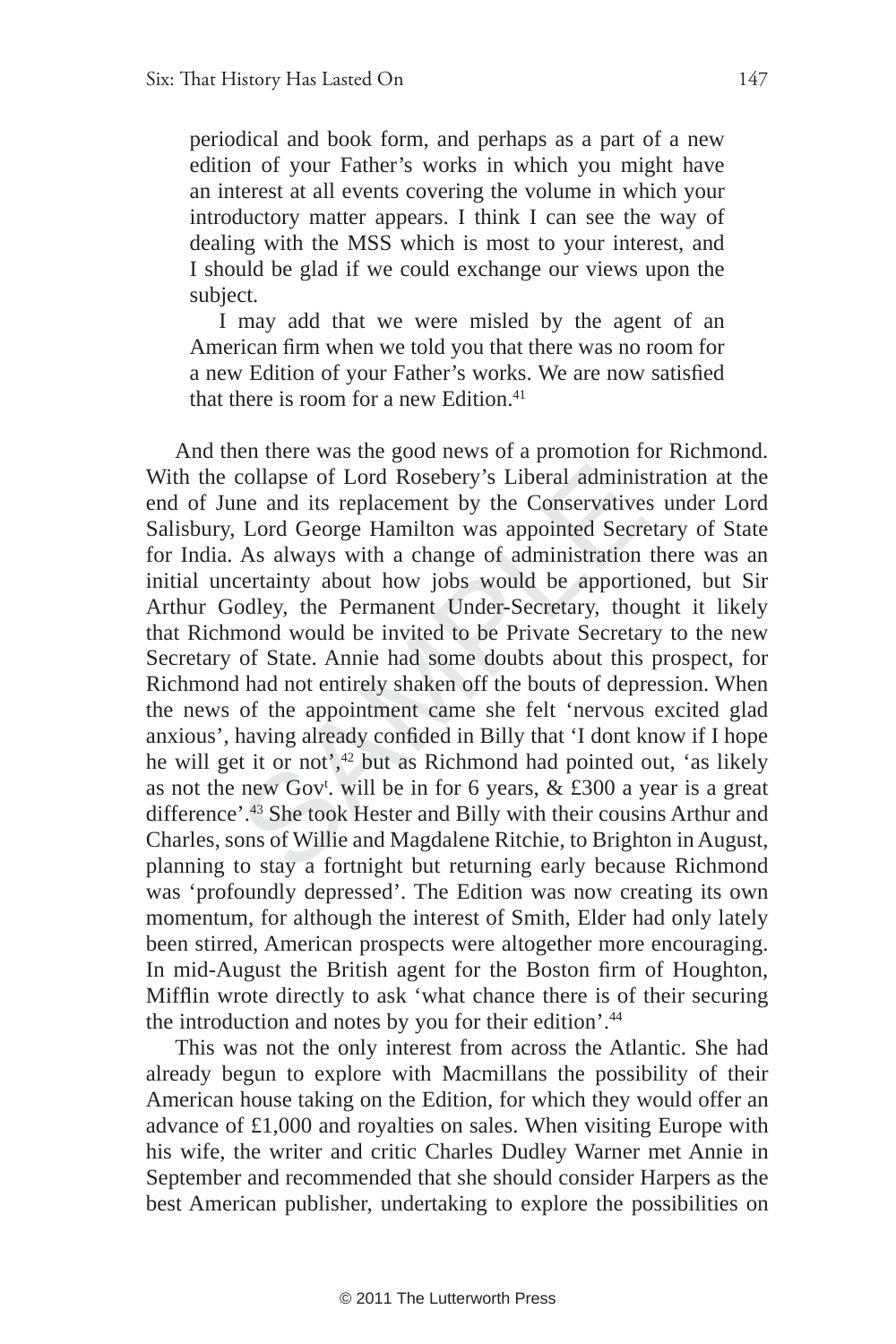periodical and book form, and perhaps as a part of a new edition of your Father's works in which you might have an interest at all events covering the volume in which your introductory matter appears. I think I can see the way of dealing with the MSS which is most to your interest, and I should be glad if we could exchange our views upon the subject.

I may add that we were misled by the agent of an American firm when we told you that there was no room for a new Edition of your Father's works. We are now satisfied that there is room for a new Edition. $41$ 

collapse of Lord Rosebery's Liberal adminis<br>me and its replacement by the Conservative<br>Lord George Hamilton was appointed Secre<br>As always with a change of administration<br>certainty about how jobs would be apporti-<br>odley, t And then there was the good news of a promotion for Richmond. With the collapse of Lord Rosebery's Liberal administration at the end of June and its replacement by the Conservatives under Lord Salisbury, Lord George Hamilton was appointed Secretary of State for India. As always with a change of administration there was an initial uncertainty about how jobs would be apportioned, but Sir Arthur Godley, the Permanent Under-Secretary, thought it likely that Richmond would be invited to be Private Secretary to the new Secretary of State. Annie had some doubts about this prospect, for Richmond had not entirely shaken off the bouts of depression. When the news of the appointment came she felt 'nervous excited glad anxious', having already confided in Billy that 'I dont know if I hope he will get it or not',<sup>42</sup> but as Richmond had pointed out, 'as likely as not the new Gov<sup>t</sup>. will be in for 6 years,  $&$  £300 a year is a great difference'.43 She took Hester and Billy with their cousins Arthur and Charles, sons of Willie and Magdalene Ritchie, to Brighton in August, planning to stay a fortnight but returning early because Richmond was 'profoundly depressed'. The Edition was now creating its own momentum, for although the interest of Smith, Elder had only lately been stirred, American prospects were altogether more encouraging. In mid-August the British agent for the Boston firm of Houghton, Mifflin wrote directly to ask 'what chance there is of their securing the introduction and notes by you for their edition'.44

This was not the only interest from across the Atlantic. She had already begun to explore with Macmillans the possibility of their American house taking on the Edition, for which they would offer an advance of £1,000 and royalties on sales. When visiting Europe with his wife, the writer and critic Charles Dudley Warner met Annie in September and recommended that she should consider Harpers as the best American publisher, undertaking to explore the possibilities on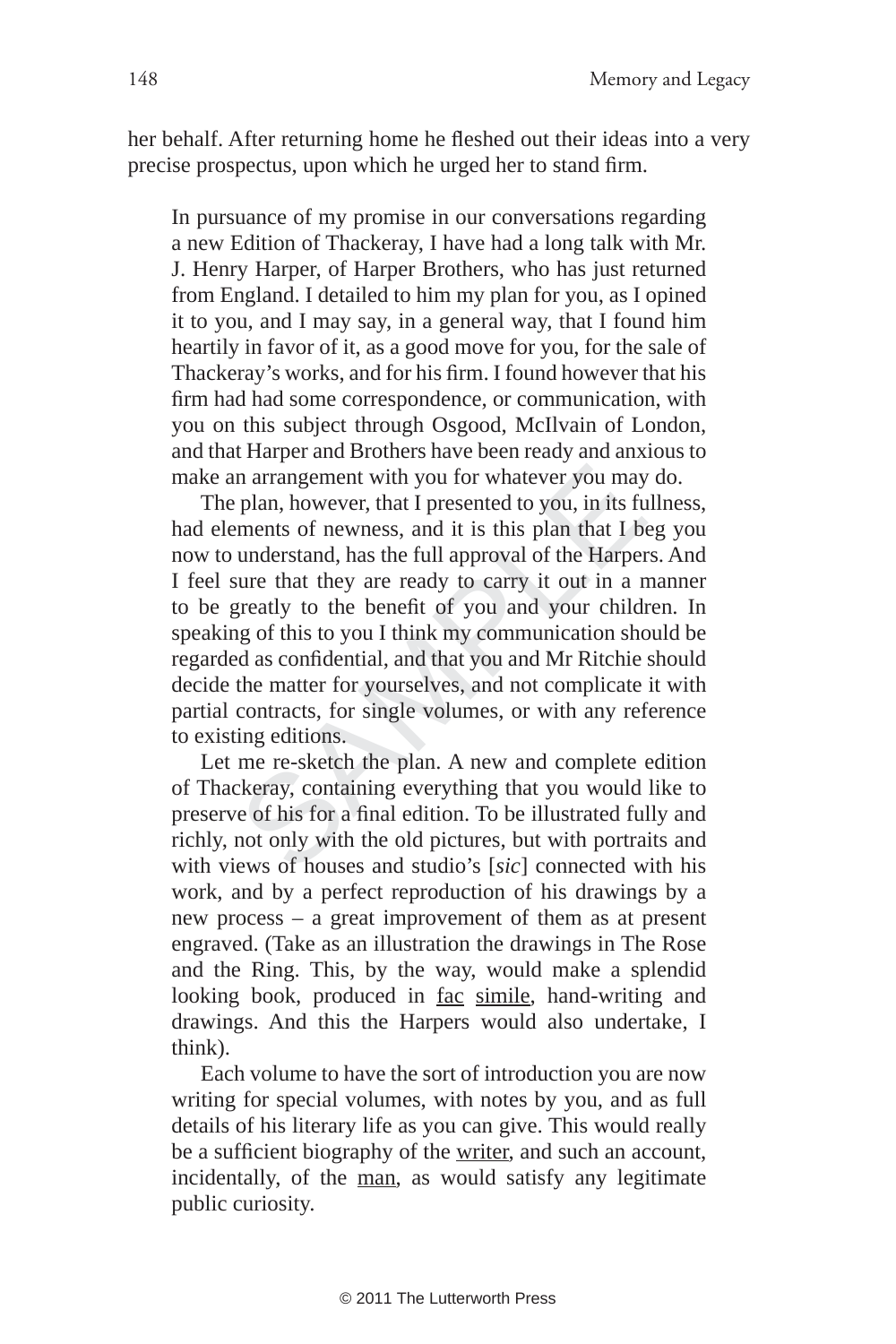her behalf. After returning home he fleshed out their ideas into a very precise prospectus, upon which he urged her to stand firm.

In pursuance of my promise in our conversations regarding a new Edition of Thackeray, I have had a long talk with Mr. J. Henry Harper, of Harper Brothers, who has just returned from England. I detailed to him my plan for you, as I opined it to you, and I may say, in a general way, that I found him heartily in favor of it, as a good move for you, for the sale of Thackeray's works, and for his firm. I found however that his firm had had some correspondence, or communication, with you on this subject through Osgood, McIlvain of London, and that Harper and Brothers have been ready and anxious to make an arrangement with you for whatever you may do.

In arrangement with you for whatever you may<br>
plan, however, that I presented to you, in its ft<br>
ements of newness, and it is this plan that I b<br>
understand, has the full approval of the Harpe<br>
sure that they are ready to The plan, however, that I presented to you, in its fullness, had elements of newness, and it is this plan that I beg you now to understand, has the full approval of the Harpers. And I feel sure that they are ready to carry it out in a manner to be greatly to the benefit of you and your children. In speaking of this to you I think my communication should be regarded as confidential, and that you and Mr Ritchie should decide the matter for yourselves, and not complicate it with partial contracts, for single volumes, or with any reference to existing editions.

Let me re-sketch the plan. A new and complete edition of Thackeray, containing everything that you would like to preserve of his for a final edition. To be illustrated fully and richly, not only with the old pictures, but with portraits and with views of houses and studio's [*sic*] connected with his work, and by a perfect reproduction of his drawings by a new process – a great improvement of them as at present engraved. (Take as an illustration the drawings in The Rose and the Ring. This, by the way, would make a splendid looking book, produced in fac simile, hand-writing and drawings. And this the Harpers would also undertake, I think).

Each volume to have the sort of introduction you are now writing for special volumes, with notes by you, and as full details of his literary life as you can give. This would really be a sufficient biography of the writer, and such an account, incidentally, of the man, as would satisfy any legitimate public curiosity.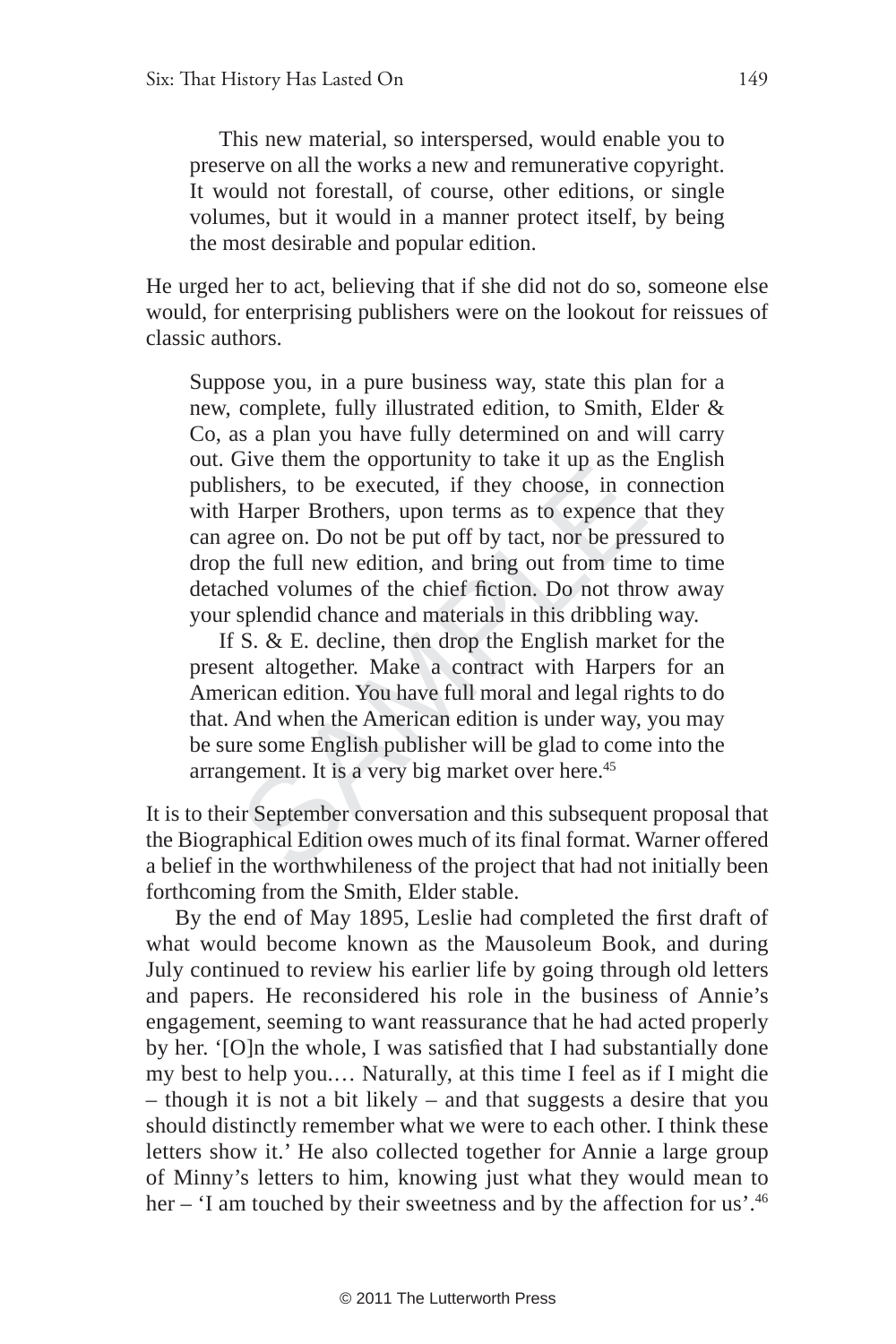This new material, so interspersed, would enable you to preserve on all the works a new and remunerative copyright. It would not forestall, of course, other editions, or single volumes, but it would in a manner protect itself, by being the most desirable and popular edition.

He urged her to act, believing that if she did not do so, someone else would, for enterprising publishers were on the lookout for reissues of classic authors.

Give them the opportunity to take it top as the sheers, to be executed, if they choose, in coff Harper Brothers, upon terms as to expende ugree on. Do not be put off by tact, nor be pre the full new edition, and bring out Suppose you, in a pure business way, state this plan for a new, complete, fully illustrated edition, to Smith, Elder & Co, as a plan you have fully determined on and will carry out. Give them the opportunity to take it up as the English publishers, to be executed, if they choose, in connection with Harper Brothers, upon terms as to expence that they can agree on. Do not be put off by tact, nor be pressured to drop the full new edition, and bring out from time to time detached volumes of the chief fiction. Do not throw away your splendid chance and materials in this dribbling way.

If S. & E. decline, then drop the English market for the present altogether. Make a contract with Harpers for an American edition. You have full moral and legal rights to do that. And when the American edition is under way, you may be sure some English publisher will be glad to come into the arrangement. It is a very big market over here.<sup>45</sup>

It is to their September conversation and this subsequent proposal that the Biographical Edition owes much of its final format. Warner offered a belief in the worthwhileness of the project that had not initially been forthcoming from the Smith, Elder stable.

By the end of May 1895, Leslie had completed the first draft of what would become known as the Mausoleum Book, and during July continued to review his earlier life by going through old letters and papers. He reconsidered his role in the business of Annie's engagement, seeming to want reassurance that he had acted properly by her. '[O]n the whole, I was satisfied that I had substantially done my best to help you.… Naturally, at this time I feel as if I might die – though it is not a bit likely – and that suggests a desire that you should distinctly remember what we were to each other. I think these letters show it.' He also collected together for Annie a large group of Minny's letters to him, knowing just what they would mean to her – 'I am touched by their sweetness and by the affection for us'.<sup>46</sup>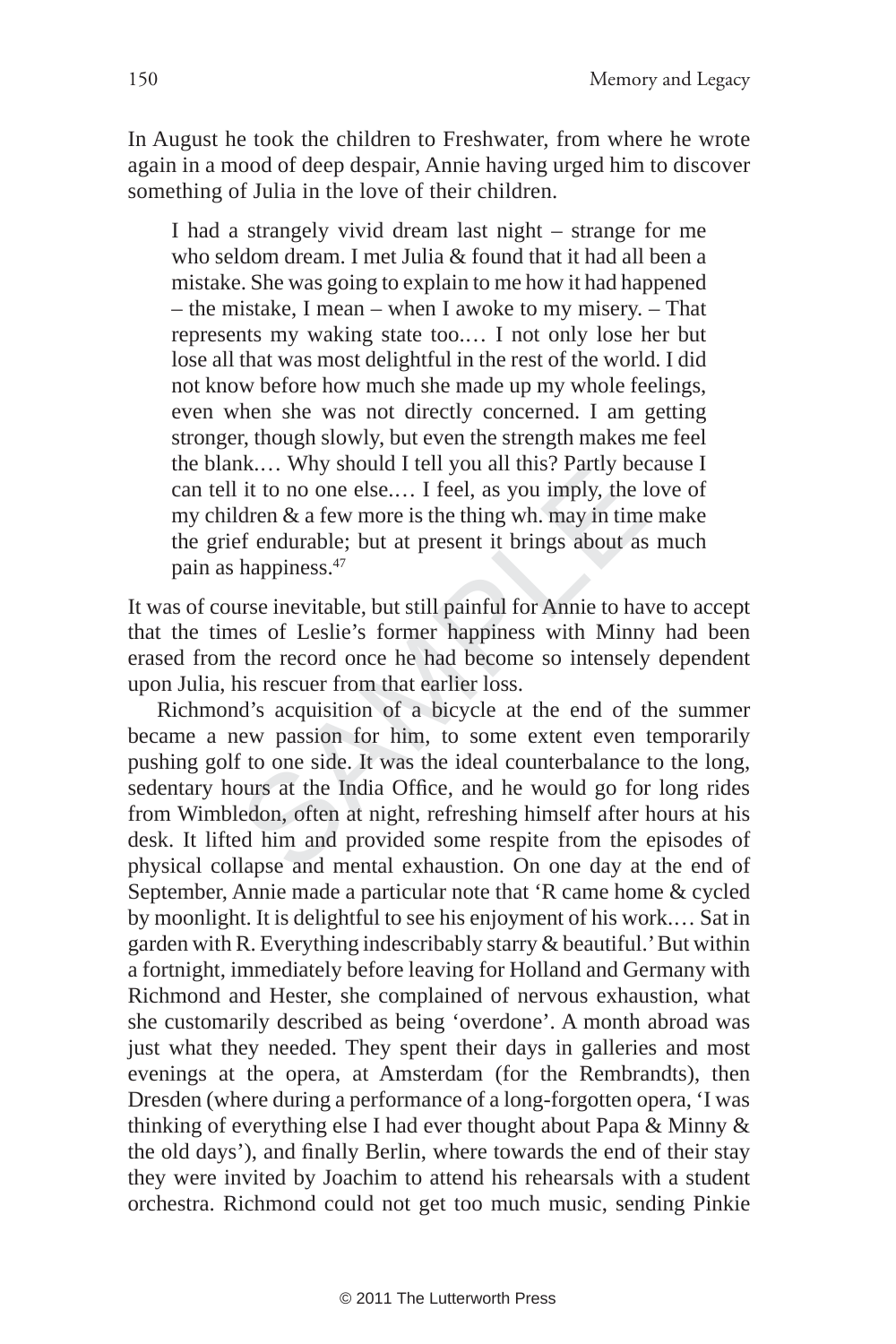In August he took the children to Freshwater, from where he wrote again in a mood of deep despair, Annie having urged him to discover something of Julia in the love of their children.

I had a strangely vivid dream last night – strange for me who seldom dream. I met Julia & found that it had all been a mistake. She was going to explain to me how it had happened – the mistake, I mean – when I awoke to my misery. – That represents my waking state too.… I not only lose her but lose all that was most delightful in the rest of the world. I did not know before how much she made up my whole feelings, even when she was not directly concerned. I am getting stronger, though slowly, but even the strength makes me feel the blank.… Why should I tell you all this? Partly because I can tell it to no one else.… I feel, as you imply, the love of my children & a few more is the thing wh. may in time make the grief endurable; but at present it brings about as much pain as happiness.47

It was of course inevitable, but still painful for Annie to have to accept that the times of Leslie's former happiness with Minny had been erased from the record once he had become so intensely dependent upon Julia, his rescuer from that earlier loss.

In K.... Why should I left you all this? Partly be<br>1 it to no one else.... I feel, as you imply, the<br>1 dren & a few more is the thing wh. may in time<br>1 dren & a few more is the thing wh. may in time<br>1 dren durable; but at Richmond's acquisition of a bicycle at the end of the summer became a new passion for him, to some extent even temporarily pushing golf to one side. It was the ideal counterbalance to the long, sedentary hours at the India Office, and he would go for long rides from Wimbledon, often at night, refreshing himself after hours at his desk. It lifted him and provided some respite from the episodes of physical collapse and mental exhaustion. On one day at the end of September, Annie made a particular note that 'R came home & cycled by moonlight. It is delightful to see his enjoyment of his work.… Sat in garden with R. Everything indescribably starry & beautiful.' But within a fortnight, immediately before leaving for Holland and Germany with Richmond and Hester, she complained of nervous exhaustion, what she customarily described as being 'overdone'. A month abroad was just what they needed. They spent their days in galleries and most evenings at the opera, at Amsterdam (for the Rembrandts), then Dresden (where during a performance of a long-forgotten opera, 'I was thinking of everything else I had ever thought about Papa & Minny & the old days'), and finally Berlin, where towards the end of their stay they were invited by Joachim to attend his rehearsals with a student orchestra. Richmond could not get too much music, sending Pinkie